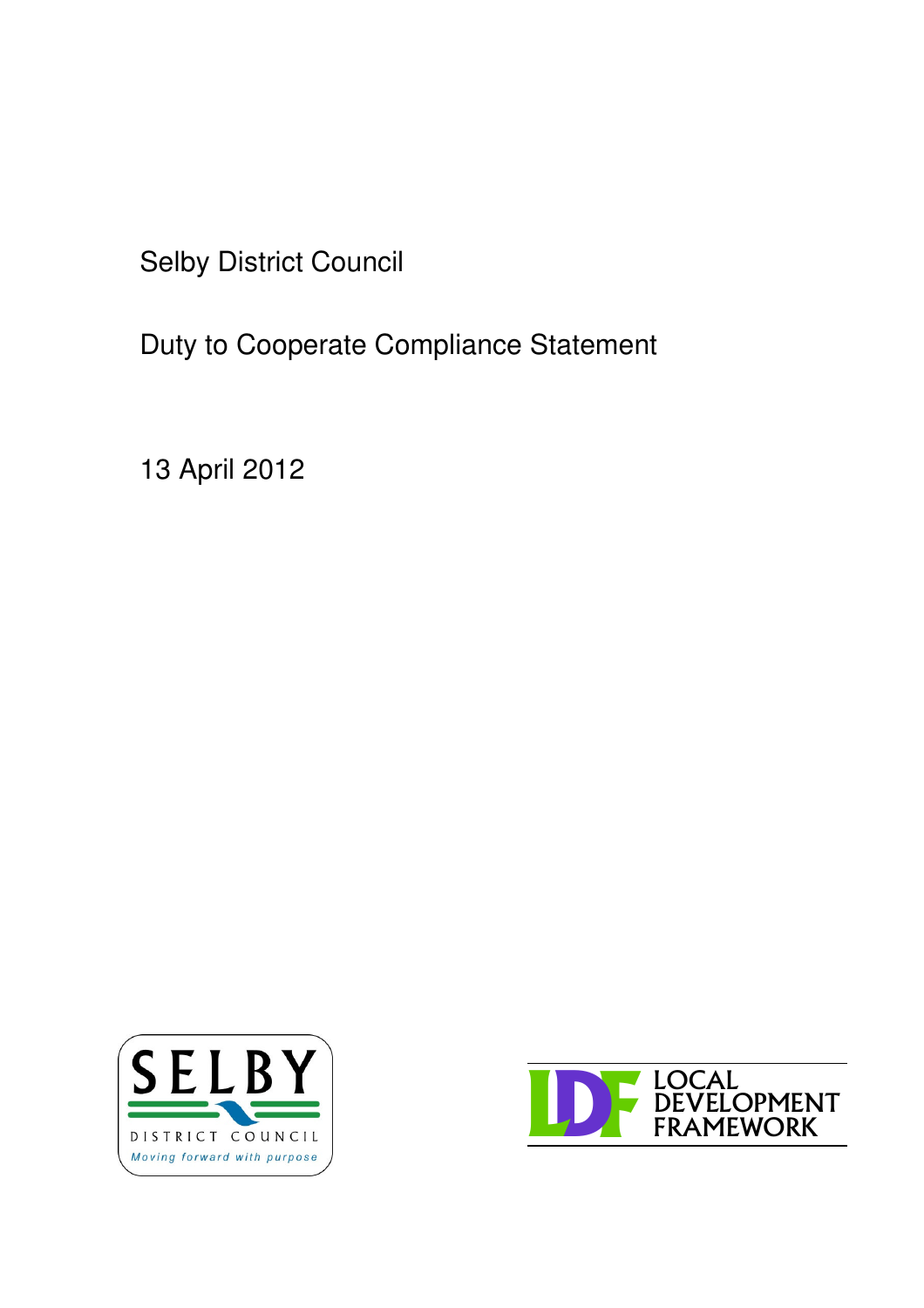Selby District Council

Duty to Cooperate Compliance Statement

13 April 2012



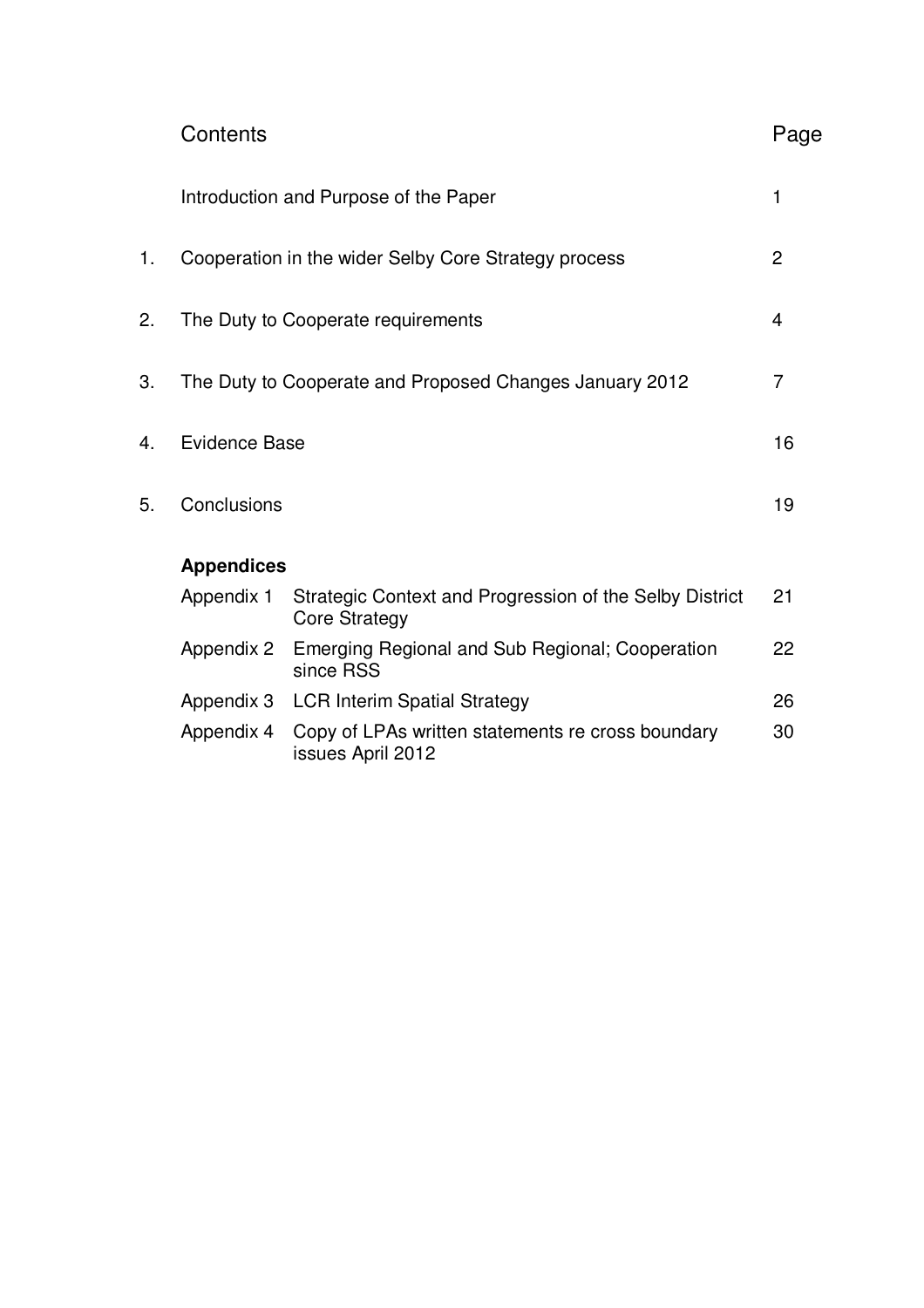|    | Contents<br>Page                                                           |                                                                                 |                |  |  |  |
|----|----------------------------------------------------------------------------|---------------------------------------------------------------------------------|----------------|--|--|--|
|    | 1<br>Introduction and Purpose of the Paper                                 |                                                                                 |                |  |  |  |
| 1. |                                                                            | Cooperation in the wider Selby Core Strategy process                            | $\overline{2}$ |  |  |  |
| 2. |                                                                            | The Duty to Cooperate requirements                                              | 4              |  |  |  |
| 3. | $\overline{7}$<br>The Duty to Cooperate and Proposed Changes January 2012  |                                                                                 |                |  |  |  |
| 4. | Evidence Base<br>16                                                        |                                                                                 |                |  |  |  |
| 5. | Conclusions<br>19                                                          |                                                                                 |                |  |  |  |
|    | <b>Appendices</b>                                                          |                                                                                 |                |  |  |  |
|    | Appendix 1                                                                 | Strategic Context and Progression of the Selby District<br><b>Core Strategy</b> | 21             |  |  |  |
|    | Appendix 2<br>Emerging Regional and Sub Regional; Cooperation<br>since RSS |                                                                                 |                |  |  |  |
|    | Appendix 3 LCR Interim Spatial Strategy                                    |                                                                                 |                |  |  |  |
|    | Appendix 4                                                                 | Copy of LPAs written statements re cross boundary<br>issues April 2012          | 30             |  |  |  |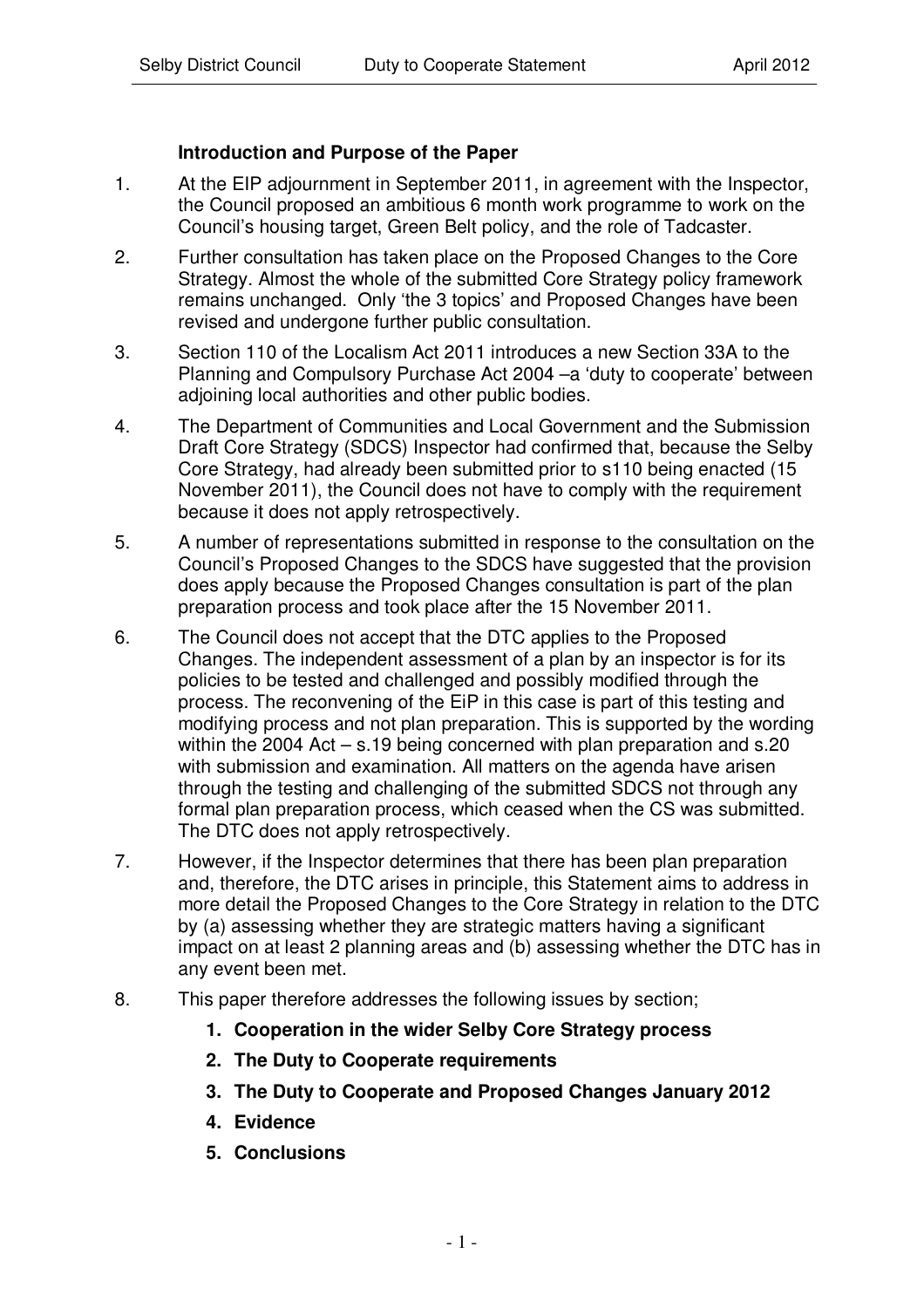# **Introduction and Purpose of the Paper**

- 1. At the EIP adjournment in September 2011, in agreement with the Inspector, the Council proposed an ambitious 6 month work programme to work on the Council's housing target, Green Belt policy, and the role of Tadcaster.
- 2. Further consultation has taken place on the Proposed Changes to the Core Strategy. Almost the whole of the submitted Core Strategy policy framework remains unchanged. Only 'the 3 topics' and Proposed Changes have been revised and undergone further public consultation.
- 3. Section 110 of the Localism Act 2011 introduces a new Section 33A to the Planning and Compulsory Purchase Act 2004 –a 'duty to cooperate' between adjoining local authorities and other public bodies.
- 4. The Department of Communities and Local Government and the Submission Draft Core Strategy (SDCS) Inspector had confirmed that, because the Selby Core Strategy, had already been submitted prior to s110 being enacted (15 November 2011), the Council does not have to comply with the requirement because it does not apply retrospectively.
- 5. A number of representations submitted in response to the consultation on the Council's Proposed Changes to the SDCS have suggested that the provision does apply because the Proposed Changes consultation is part of the plan preparation process and took place after the 15 November 2011.
- 6. The Council does not accept that the DTC applies to the Proposed Changes. The independent assessment of a plan by an inspector is for its policies to be tested and challenged and possibly modified through the process. The reconvening of the EiP in this case is part of this testing and modifying process and not plan preparation. This is supported by the wording within the 2004 Act – s.19 being concerned with plan preparation and s.20 with submission and examination. All matters on the agenda have arisen through the testing and challenging of the submitted SDCS not through any formal plan preparation process, which ceased when the CS was submitted. The DTC does not apply retrospectively.
- 7. However, if the Inspector determines that there has been plan preparation and, therefore, the DTC arises in principle, this Statement aims to address in more detail the Proposed Changes to the Core Strategy in relation to the DTC by (a) assessing whether they are strategic matters having a significant impact on at least 2 planning areas and (b) assessing whether the DTC has in any event been met.
- 8. This paper therefore addresses the following issues by section;
	- **1. Cooperation in the wider Selby Core Strategy process**
	- **2. The Duty to Cooperate requirements**
	- **3. The Duty to Cooperate and Proposed Changes January 2012**
	- **4. Evidence**
	- **5. Conclusions**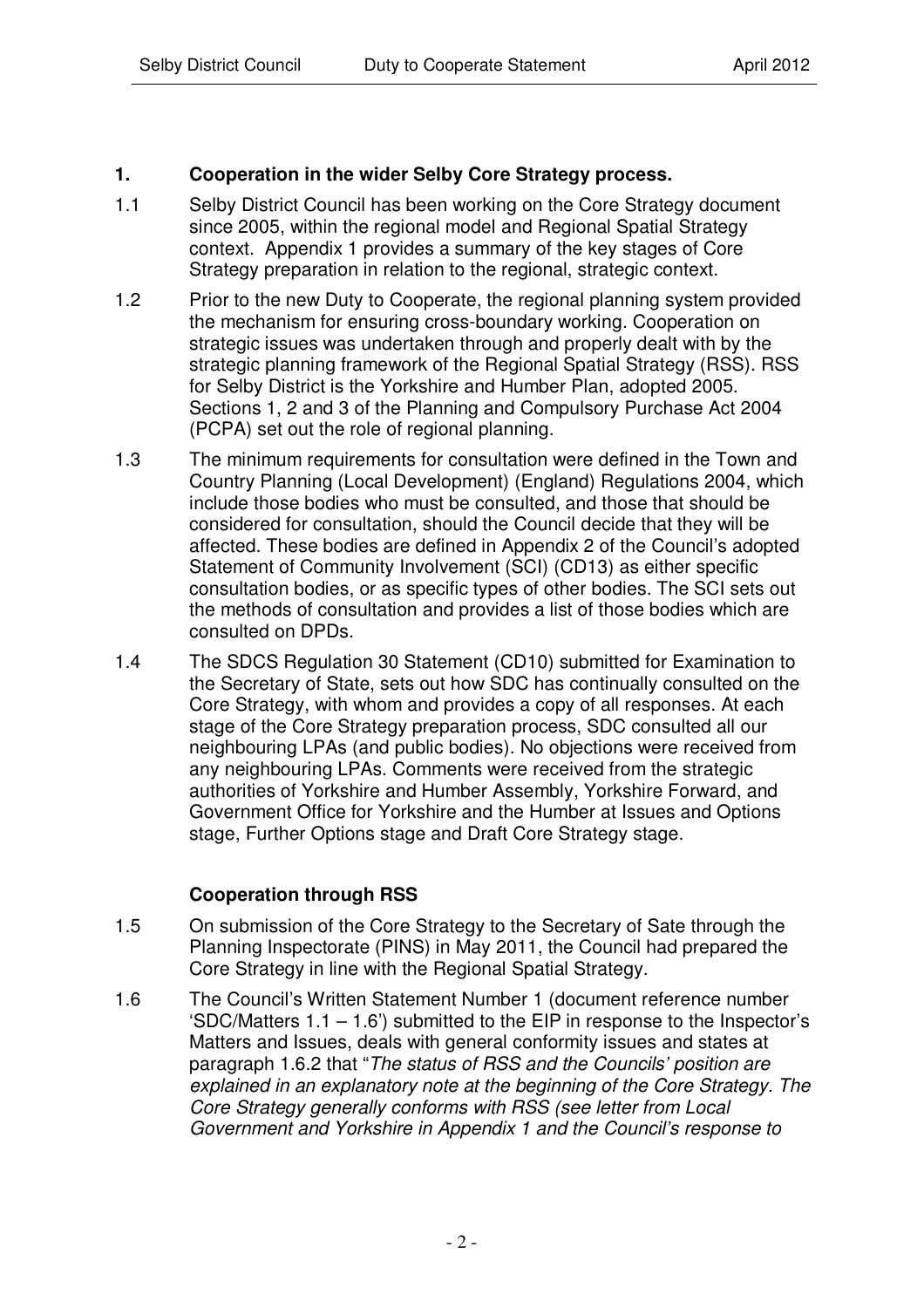# **1. Cooperation in the wider Selby Core Strategy process.**

- 1.1 Selby District Council has been working on the Core Strategy document since 2005, within the regional model and Regional Spatial Strategy context. Appendix 1 provides a summary of the key stages of Core Strategy preparation in relation to the regional, strategic context.
- 1.2 Prior to the new Duty to Cooperate, the regional planning system provided the mechanism for ensuring cross-boundary working. Cooperation on strategic issues was undertaken through and properly dealt with by the strategic planning framework of the Regional Spatial Strategy (RSS). RSS for Selby District is the Yorkshire and Humber Plan, adopted 2005. Sections 1, 2 and 3 of the Planning and Compulsory Purchase Act 2004 (PCPA) set out the role of regional planning.
- 1.3 The minimum requirements for consultation were defined in the Town and Country Planning (Local Development) (England) Regulations 2004, which include those bodies who must be consulted, and those that should be considered for consultation, should the Council decide that they will be affected. These bodies are defined in Appendix 2 of the Council's adopted Statement of Community Involvement (SCI) (CD13) as either specific consultation bodies, or as specific types of other bodies. The SCI sets out the methods of consultation and provides a list of those bodies which are consulted on DPDs.
- 1.4 The SDCS Regulation 30 Statement (CD10) submitted for Examination to the Secretary of State, sets out how SDC has continually consulted on the Core Strategy, with whom and provides a copy of all responses. At each stage of the Core Strategy preparation process, SDC consulted all our neighbouring LPAs (and public bodies). No objections were received from any neighbouring LPAs. Comments were received from the strategic authorities of Yorkshire and Humber Assembly, Yorkshire Forward, and Government Office for Yorkshire and the Humber at Issues and Options stage, Further Options stage and Draft Core Strategy stage.

# **Cooperation through RSS**

- 1.5 On submission of the Core Strategy to the Secretary of Sate through the Planning Inspectorate (PINS) in May 2011, the Council had prepared the Core Strategy in line with the Regional Spatial Strategy.
- 1.6 The Council's Written Statement Number 1 (document reference number 'SDC/Matters 1.1 – 1.6') submitted to the EIP in response to the Inspector's Matters and Issues, deals with general conformity issues and states at paragraph 1.6.2 that "*The status of RSS and the Councils' position are explained in an explanatory note at the beginning of the Core Strategy. The Core Strategy generally conforms with RSS (see letter from Local Government and Yorkshire in Appendix 1 and the Council's response to*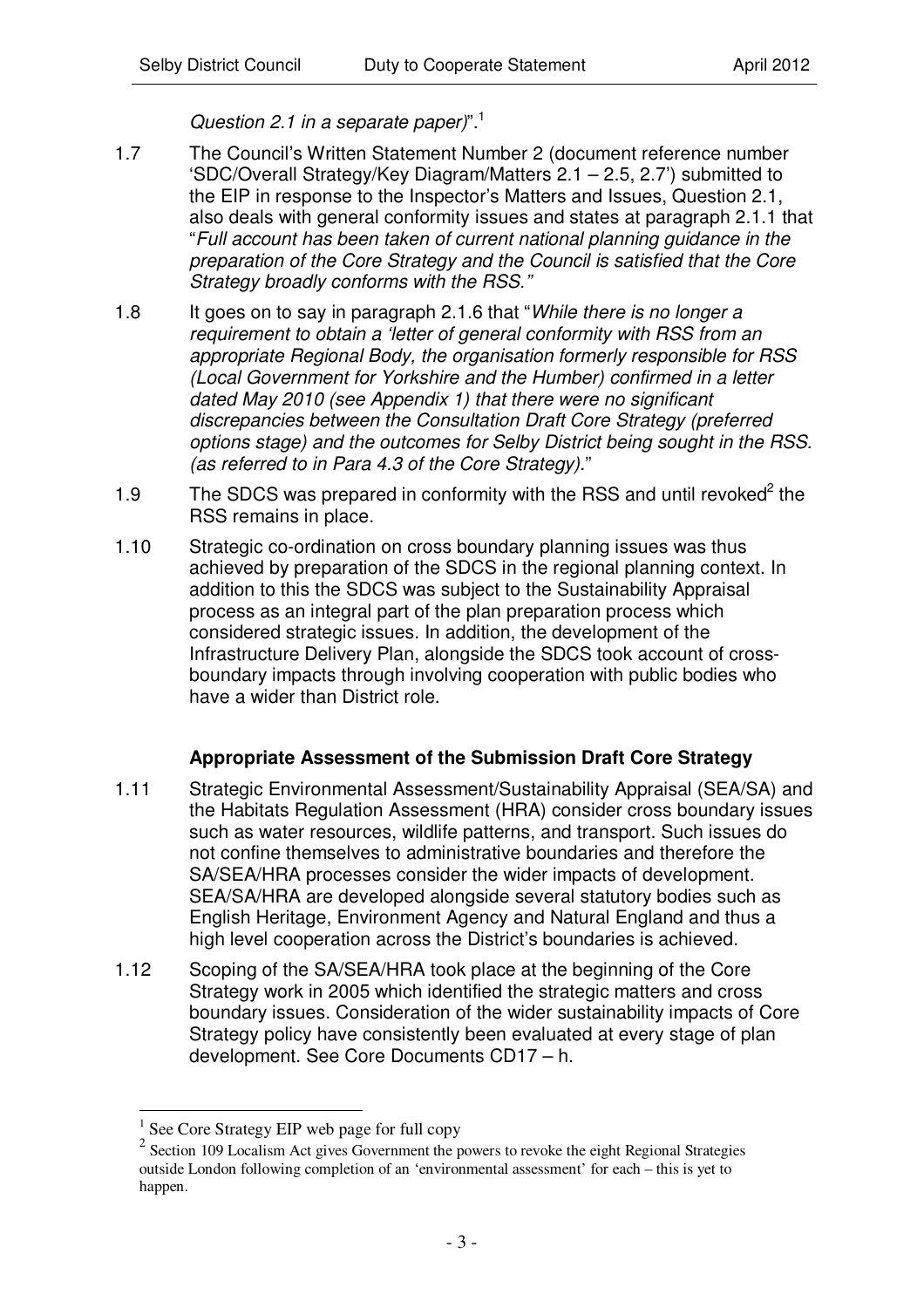*Question 2.1 in a separate paper)*". 1

- 1.7 The Council's Written Statement Number 2 (document reference number 'SDC/Overall Strategy/Key Diagram/Matters 2.1 – 2.5, 2.7') submitted to the EIP in response to the Inspector's Matters and Issues, Question 2.1, also deals with general conformity issues and states at paragraph 2.1.1 that "*Full account has been taken of current national planning guidance in the preparation of the Core Strategy and the Council is satisfied that the Core Strategy broadly conforms with the RSS."*
- 1.8 It goes on to say in paragraph 2.1.6 that "*While there is no longer a requirement to obtain a 'letter of general conformity with RSS from an appropriate Regional Body, the organisation formerly responsible for RSS (Local Government for Yorkshire and the Humber) confirmed in a letter dated May 2010 (see Appendix 1) that there were no significant discrepancies between the Consultation Draft Core Strategy (preferred options stage) and the outcomes for Selby District being sought in the RSS. (as referred to in Para 4.3 of the Core Strategy)*."
- 1.9 The SDCS was prepared in conformity with the RSS and until revoked<sup>2</sup> the RSS remains in place.
- 1.10 Strategic co-ordination on cross boundary planning issues was thus achieved by preparation of the SDCS in the regional planning context. In addition to this the SDCS was subject to the Sustainability Appraisal process as an integral part of the plan preparation process which considered strategic issues. In addition, the development of the Infrastructure Delivery Plan, alongside the SDCS took account of crossboundary impacts through involving cooperation with public bodies who have a wider than District role.

# **Appropriate Assessment of the Submission Draft Core Strategy**

- 1.11 Strategic Environmental Assessment/Sustainability Appraisal (SEA/SA) and the Habitats Regulation Assessment (HRA) consider cross boundary issues such as water resources, wildlife patterns, and transport. Such issues do not confine themselves to administrative boundaries and therefore the SA/SEA/HRA processes consider the wider impacts of development. SEA/SA/HRA are developed alongside several statutory bodies such as English Heritage, Environment Agency and Natural England and thus a high level cooperation across the District's boundaries is achieved.
- 1.12 Scoping of the SA/SEA/HRA took place at the beginning of the Core Strategy work in 2005 which identified the strategic matters and cross boundary issues. Consideration of the wider sustainability impacts of Core Strategy policy have consistently been evaluated at every stage of plan development. See Core Documents CD17 – h.

<sup>1</sup> See Core Strategy EIP web page for full copy

<sup>&</sup>lt;sup>2</sup> Section 109 Localism Act gives Government the powers to revoke the eight Regional Strategies outside London following completion of an 'environmental assessment' for each – this is yet to happen.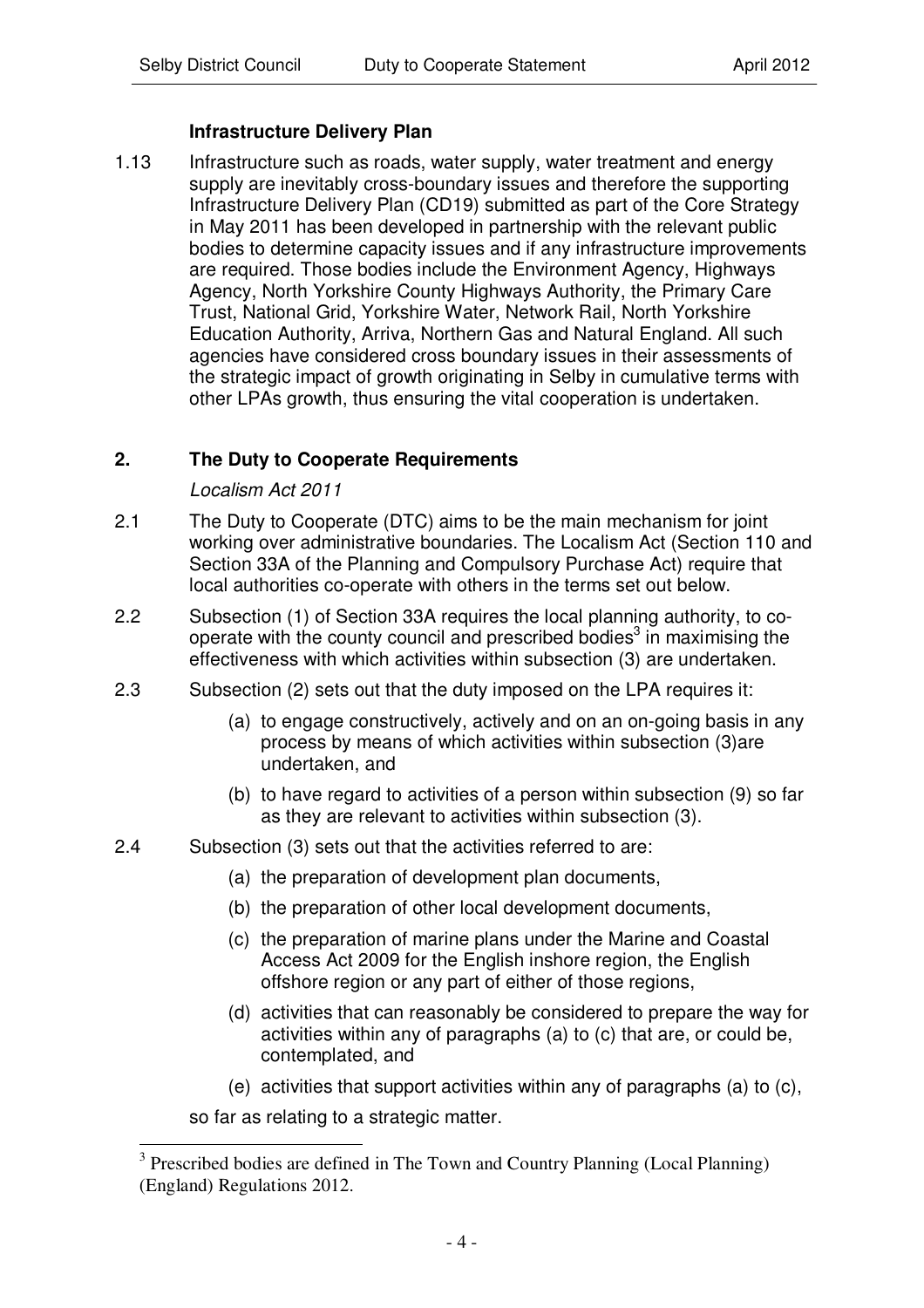# **Infrastructure Delivery Plan**

1.13 Infrastructure such as roads, water supply, water treatment and energy supply are inevitably cross-boundary issues and therefore the supporting Infrastructure Delivery Plan (CD19) submitted as part of the Core Strategy in May 2011 has been developed in partnership with the relevant public bodies to determine capacity issues and if any infrastructure improvements are required. Those bodies include the Environment Agency, Highways Agency, North Yorkshire County Highways Authority, the Primary Care Trust, National Grid, Yorkshire Water, Network Rail, North Yorkshire Education Authority, Arriva, Northern Gas and Natural England. All such agencies have considered cross boundary issues in their assessments of the strategic impact of growth originating in Selby in cumulative terms with other LPAs growth, thus ensuring the vital cooperation is undertaken.

# **2. The Duty to Cooperate Requirements**

#### *Localism Act 2011*

- 2.1 The Duty to Cooperate (DTC) aims to be the main mechanism for joint working over administrative boundaries. The Localism Act (Section 110 and Section 33A of the Planning and Compulsory Purchase Act) require that local authorities co-operate with others in the terms set out below.
- 2.2 Subsection (1) of Section 33A requires the local planning authority, to cooperate with the county council and prescribed bodies<sup>3</sup> in maximising the effectiveness with which activities within subsection (3) are undertaken.
- 2.3 Subsection (2) sets out that the duty imposed on the LPA requires it:
	- (a) to engage constructively, actively and on an on-going basis in any process by means of which activities within subsection (3)are undertaken, and
	- (b) to have regard to activities of a person within subsection (9) so far as they are relevant to activities within subsection (3).
- 2.4 Subsection (3) sets out that the activities referred to are:
	- (a) the preparation of development plan documents,
	- (b) the preparation of other local development documents,
	- (c) the preparation of marine plans under the Marine and Coastal Access Act 2009 for the English inshore region, the English offshore region or any part of either of those regions,
	- (d) activities that can reasonably be considered to prepare the way for activities within any of paragraphs (a) to (c) that are, or could be, contemplated, and
	- (e) activities that support activities within any of paragraphs (a) to (c),

so far as relating to a strategic matter.

<sup>&</sup>lt;sup>3</sup> Prescribed bodies are defined in The Town and Country Planning (Local Planning) (England) Regulations 2012.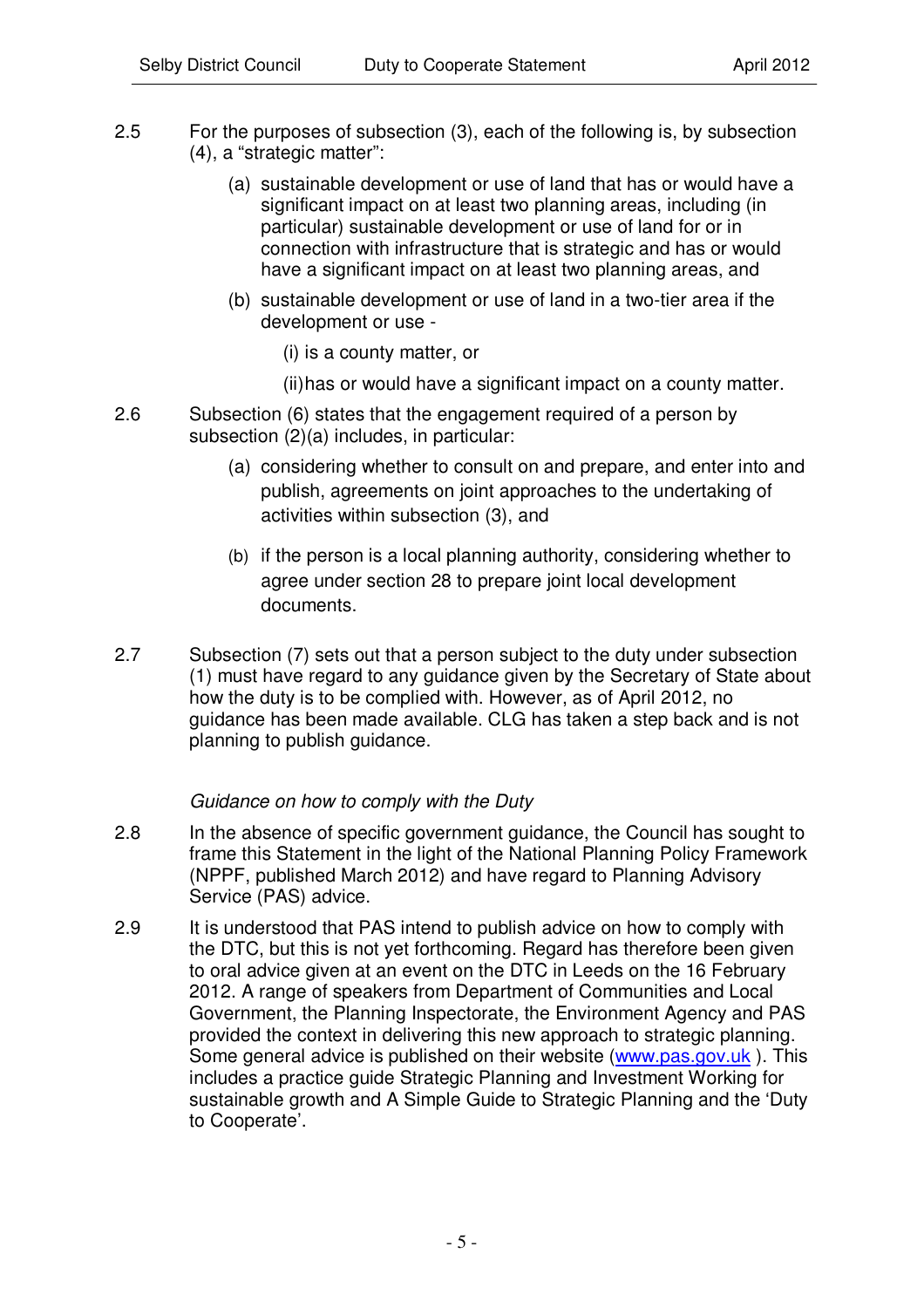- 2.5 For the purposes of subsection (3), each of the following is, by subsection (4), a "strategic matter":
	- (a) sustainable development or use of land that has or would have a significant impact on at least two planning areas, including (in particular) sustainable development or use of land for or in connection with infrastructure that is strategic and has or would have a significant impact on at least two planning areas, and
	- (b) sustainable development or use of land in a two-tier area if the development or use -
		- (i) is a county matter, or
		- (ii)has or would have a significant impact on a county matter.
- 2.6 Subsection (6) states that the engagement required of a person by subsection (2)(a) includes, in particular:
	- (a) considering whether to consult on and prepare, and enter into and publish, agreements on joint approaches to the undertaking of activities within subsection (3), and
	- (b) if the person is a local planning authority, considering whether to agree under section 28 to prepare joint local development documents.
- 2.7 Subsection (7) sets out that a person subject to the duty under subsection (1) must have regard to any guidance given by the Secretary of State about how the duty is to be complied with. However, as of April 2012, no guidance has been made available. CLG has taken a step back and is not planning to publish guidance.

#### *Guidance on how to comply with the Duty*

- 2.8 In the absence of specific government guidance, the Council has sought to frame this Statement in the light of the National Planning Policy Framework (NPPF, published March 2012) and have regard to Planning Advisory Service (PAS) advice.
- 2.9 It is understood that PAS intend to publish advice on how to comply with the DTC, but this is not yet forthcoming. Regard has therefore been given to oral advice given at an event on the DTC in Leeds on the 16 February 2012. A range of speakers from Department of Communities and Local Government, the Planning Inspectorate, the Environment Agency and PAS provided the context in delivering this new approach to strategic planning. Some general advice is published on their website (www.pas.gov.uk ). This includes a practice guide Strategic Planning and Investment Working for sustainable growth and A Simple Guide to Strategic Planning and the 'Duty to Cooperate'.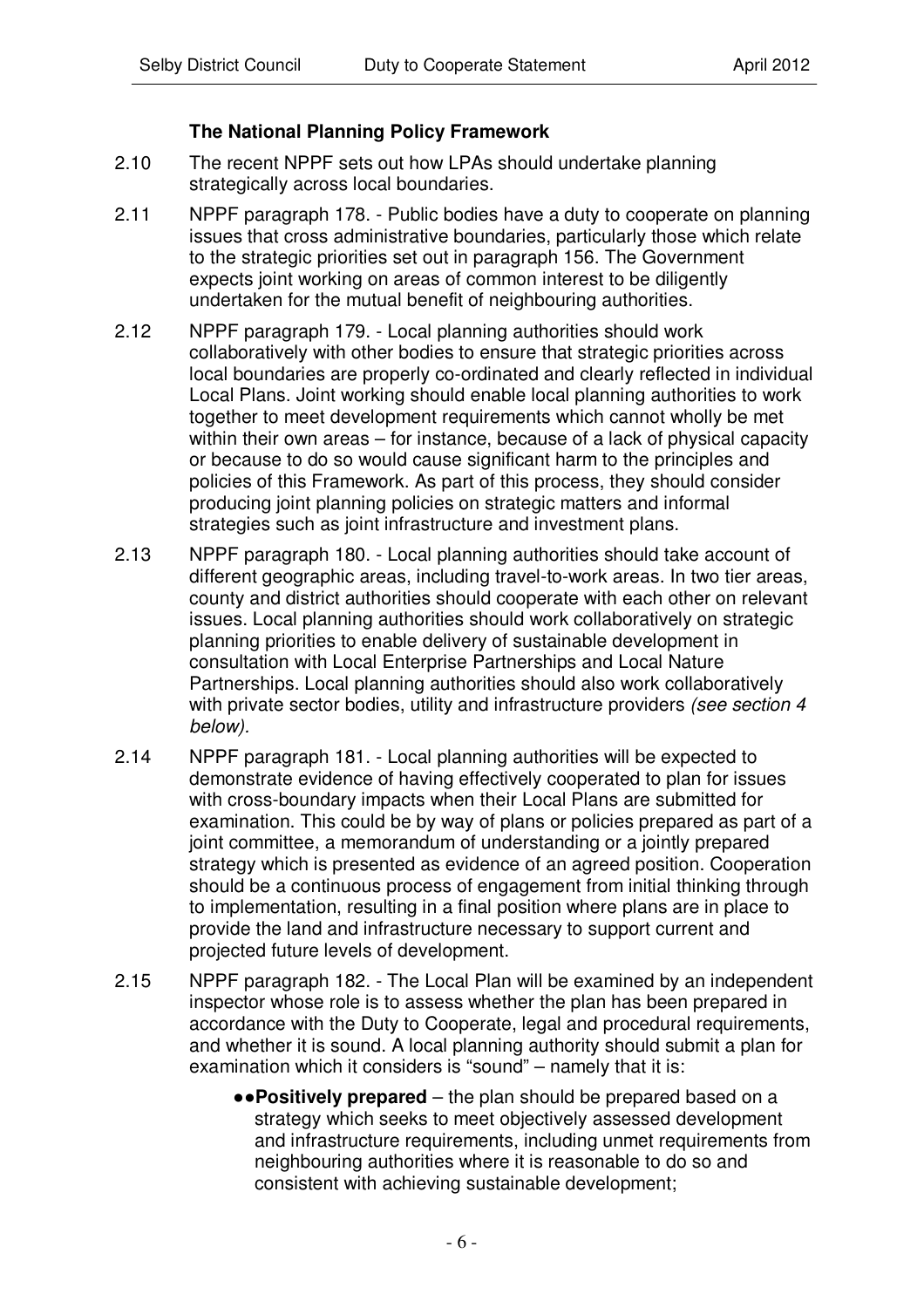# **The National Planning Policy Framework**

- 2.10 The recent NPPF sets out how LPAs should undertake planning strategically across local boundaries.
- 2.11 NPPF paragraph 178. Public bodies have a duty to cooperate on planning issues that cross administrative boundaries, particularly those which relate to the strategic priorities set out in paragraph 156. The Government expects joint working on areas of common interest to be diligently undertaken for the mutual benefit of neighbouring authorities.
- 2.12 NPPF paragraph 179. Local planning authorities should work collaboratively with other bodies to ensure that strategic priorities across local boundaries are properly co-ordinated and clearly reflected in individual Local Plans. Joint working should enable local planning authorities to work together to meet development requirements which cannot wholly be met within their own areas – for instance, because of a lack of physical capacity or because to do so would cause significant harm to the principles and policies of this Framework. As part of this process, they should consider producing joint planning policies on strategic matters and informal strategies such as joint infrastructure and investment plans.
- 2.13 NPPF paragraph 180. Local planning authorities should take account of different geographic areas, including travel-to-work areas. In two tier areas, county and district authorities should cooperate with each other on relevant issues. Local planning authorities should work collaboratively on strategic planning priorities to enable delivery of sustainable development in consultation with Local Enterprise Partnerships and Local Nature Partnerships. Local planning authorities should also work collaboratively with private sector bodies, utility and infrastructure providers *(see section 4 below).*
- 2.14 NPPF paragraph 181. Local planning authorities will be expected to demonstrate evidence of having effectively cooperated to plan for issues with cross-boundary impacts when their Local Plans are submitted for examination. This could be by way of plans or policies prepared as part of a joint committee, a memorandum of understanding or a jointly prepared strategy which is presented as evidence of an agreed position. Cooperation should be a continuous process of engagement from initial thinking through to implementation, resulting in a final position where plans are in place to provide the land and infrastructure necessary to support current and projected future levels of development.
- 2.15 NPPF paragraph 182. The Local Plan will be examined by an independent inspector whose role is to assess whether the plan has been prepared in accordance with the Duty to Cooperate, legal and procedural requirements, and whether it is sound. A local planning authority should submit a plan for examination which it considers is "sound" – namely that it is:
	- **Positively prepared** the plan should be prepared based on a strategy which seeks to meet objectively assessed development and infrastructure requirements, including unmet requirements from neighbouring authorities where it is reasonable to do so and consistent with achieving sustainable development;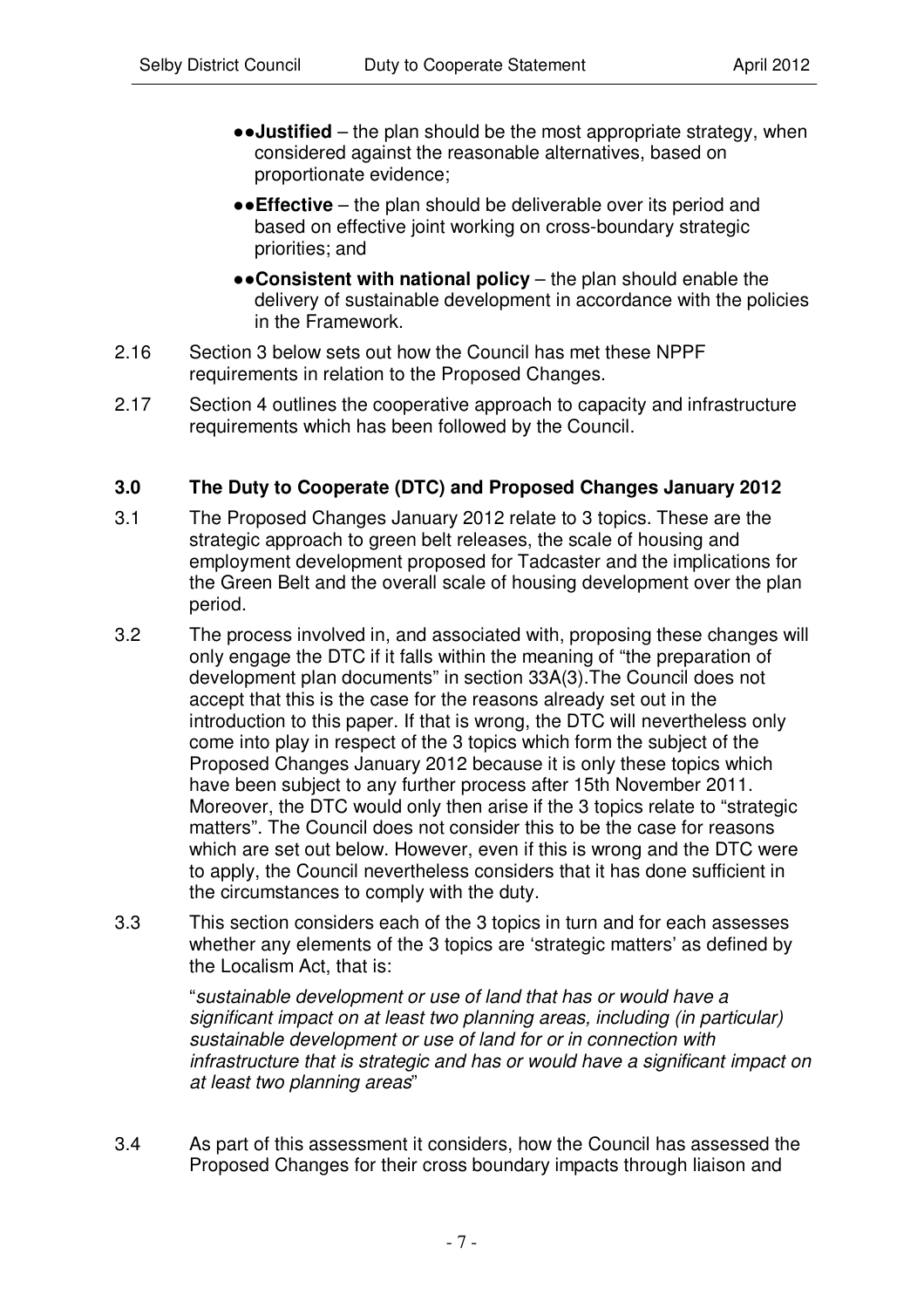- **.**•Justified the plan should be the most appropriate strategy, when considered against the reasonable alternatives, based on proportionate evidence;
- **Effective** the plan should be deliverable over its period and based on effective joint working on cross-boundary strategic priorities; and
- **Consistent with national policy** the plan should enable the delivery of sustainable development in accordance with the policies in the Framework.
- 2.16 Section 3 below sets out how the Council has met these NPPF requirements in relation to the Proposed Changes.
- 2.17 Section 4 outlines the cooperative approach to capacity and infrastructure requirements which has been followed by the Council.

#### **3.0 The Duty to Cooperate (DTC) and Proposed Changes January 2012**

- 3.1 The Proposed Changes January 2012 relate to 3 topics. These are the strategic approach to green belt releases, the scale of housing and employment development proposed for Tadcaster and the implications for the Green Belt and the overall scale of housing development over the plan period.
- 3.2 The process involved in, and associated with, proposing these changes will only engage the DTC if it falls within the meaning of "the preparation of development plan documents" in section 33A(3).The Council does not accept that this is the case for the reasons already set out in the introduction to this paper. If that is wrong, the DTC will nevertheless only come into play in respect of the 3 topics which form the subject of the Proposed Changes January 2012 because it is only these topics which have been subject to any further process after 15th November 2011. Moreover, the DTC would only then arise if the 3 topics relate to "strategic matters". The Council does not consider this to be the case for reasons which are set out below. However, even if this is wrong and the DTC were to apply, the Council nevertheless considers that it has done sufficient in the circumstances to comply with the duty.
- 3.3 This section considers each of the 3 topics in turn and for each assesses whether any elements of the 3 topics are 'strategic matters' as defined by the Localism Act, that is:

"*sustainable development or use of land that has or would have a significant impact on at least two planning areas, including (in particular) sustainable development or use of land for or in connection with infrastructure that is strategic and has or would have a significant impact on at least two planning areas*"

3.4 As part of this assessment it considers, how the Council has assessed the Proposed Changes for their cross boundary impacts through liaison and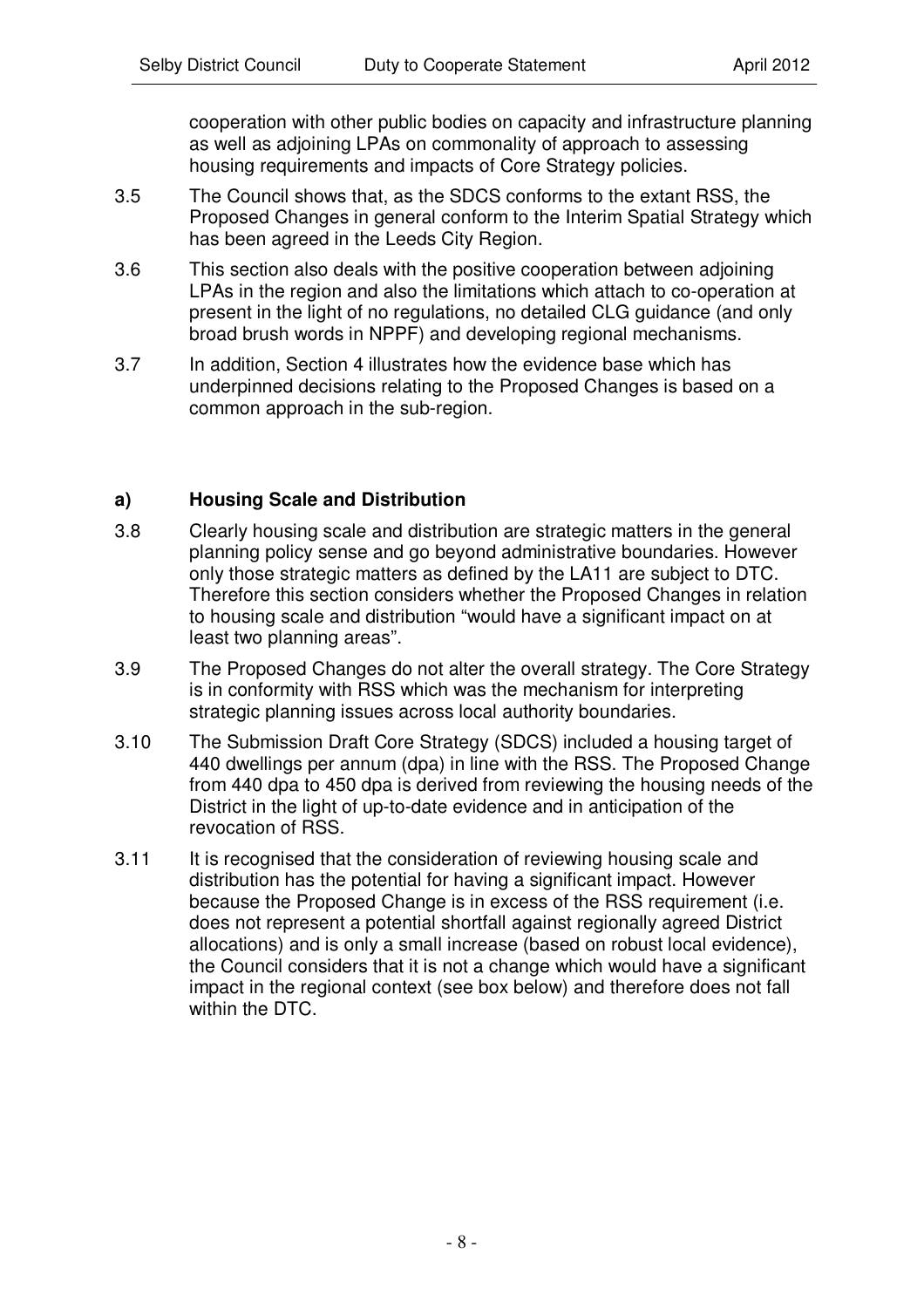cooperation with other public bodies on capacity and infrastructure planning as well as adjoining LPAs on commonality of approach to assessing housing requirements and impacts of Core Strategy policies.

- 3.5 The Council shows that, as the SDCS conforms to the extant RSS, the Proposed Changes in general conform to the Interim Spatial Strategy which has been agreed in the Leeds City Region.
- 3.6 This section also deals with the positive cooperation between adjoining LPAs in the region and also the limitations which attach to co-operation at present in the light of no regulations, no detailed CLG guidance (and only broad brush words in NPPF) and developing regional mechanisms.
- 3.7 In addition, Section 4 illustrates how the evidence base which has underpinned decisions relating to the Proposed Changes is based on a common approach in the sub-region.

# **a) Housing Scale and Distribution**

- 3.8 Clearly housing scale and distribution are strategic matters in the general planning policy sense and go beyond administrative boundaries. However only those strategic matters as defined by the LA11 are subject to DTC. Therefore this section considers whether the Proposed Changes in relation to housing scale and distribution "would have a significant impact on at least two planning areas".
- 3.9 The Proposed Changes do not alter the overall strategy. The Core Strategy is in conformity with RSS which was the mechanism for interpreting strategic planning issues across local authority boundaries.
- 3.10 The Submission Draft Core Strategy (SDCS) included a housing target of 440 dwellings per annum (dpa) in line with the RSS. The Proposed Change from 440 dpa to 450 dpa is derived from reviewing the housing needs of the District in the light of up-to-date evidence and in anticipation of the revocation of RSS.
- 3.11 It is recognised that the consideration of reviewing housing scale and distribution has the potential for having a significant impact. However because the Proposed Change is in excess of the RSS requirement (i.e. does not represent a potential shortfall against regionally agreed District allocations) and is only a small increase (based on robust local evidence), the Council considers that it is not a change which would have a significant impact in the regional context (see box below) and therefore does not fall within the DTC.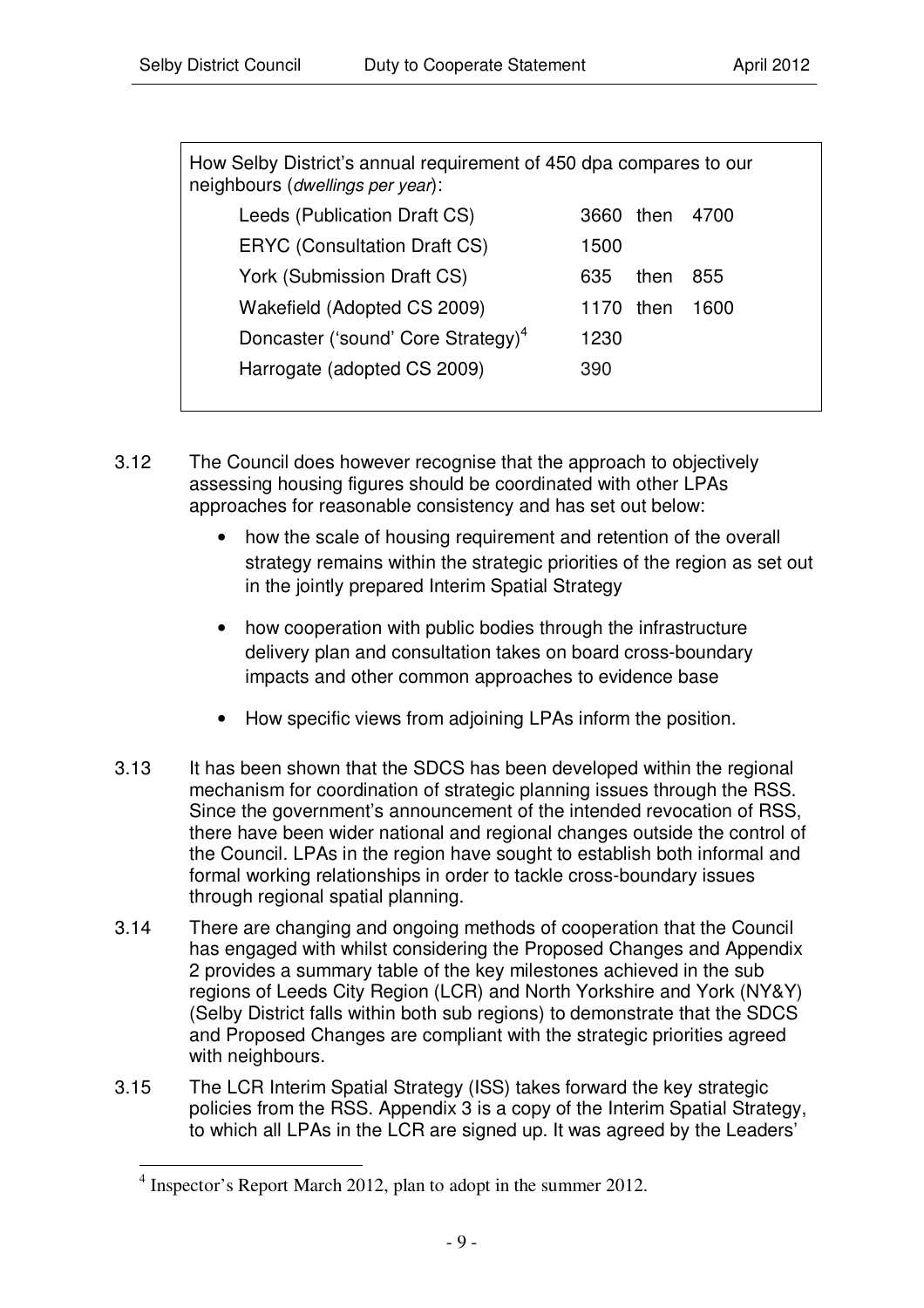| How Selby District's annual requirement of 450 dpa compares to our<br>neighbours (dwellings per year): |      |      |  |  |  |
|--------------------------------------------------------------------------------------------------------|------|------|--|--|--|
| 3660.                                                                                                  |      | 4700 |  |  |  |
| 1500                                                                                                   |      |      |  |  |  |
| 635                                                                                                    | then | 855  |  |  |  |
| 1170                                                                                                   | then | 1600 |  |  |  |
| 1230                                                                                                   |      |      |  |  |  |
| 390                                                                                                    |      |      |  |  |  |
|                                                                                                        |      | then |  |  |  |

- 3.12 The Council does however recognise that the approach to objectively assessing housing figures should be coordinated with other LPAs approaches for reasonable consistency and has set out below:
	- how the scale of housing requirement and retention of the overall strategy remains within the strategic priorities of the region as set out in the jointly prepared Interim Spatial Strategy
	- how cooperation with public bodies through the infrastructure delivery plan and consultation takes on board cross-boundary impacts and other common approaches to evidence base
	- How specific views from adjoining LPAs inform the position.
- 3.13 It has been shown that the SDCS has been developed within the regional mechanism for coordination of strategic planning issues through the RSS. Since the government's announcement of the intended revocation of RSS, there have been wider national and regional changes outside the control of the Council. LPAs in the region have sought to establish both informal and formal working relationships in order to tackle cross-boundary issues through regional spatial planning.
- 3.14 There are changing and ongoing methods of cooperation that the Council has engaged with whilst considering the Proposed Changes and Appendix 2 provides a summary table of the key milestones achieved in the sub regions of Leeds City Region (LCR) and North Yorkshire and York (NY&Y) (Selby District falls within both sub regions) to demonstrate that the SDCS and Proposed Changes are compliant with the strategic priorities agreed with neighbours.
- 3.15 The LCR Interim Spatial Strategy (ISS) takes forward the key strategic policies from the RSS. Appendix 3 is a copy of the Interim Spatial Strategy, to which all LPAs in the LCR are signed up. It was agreed by the Leaders'

<sup>&</sup>lt;sup>4</sup> Inspector's Report March 2012, plan to adopt in the summer 2012.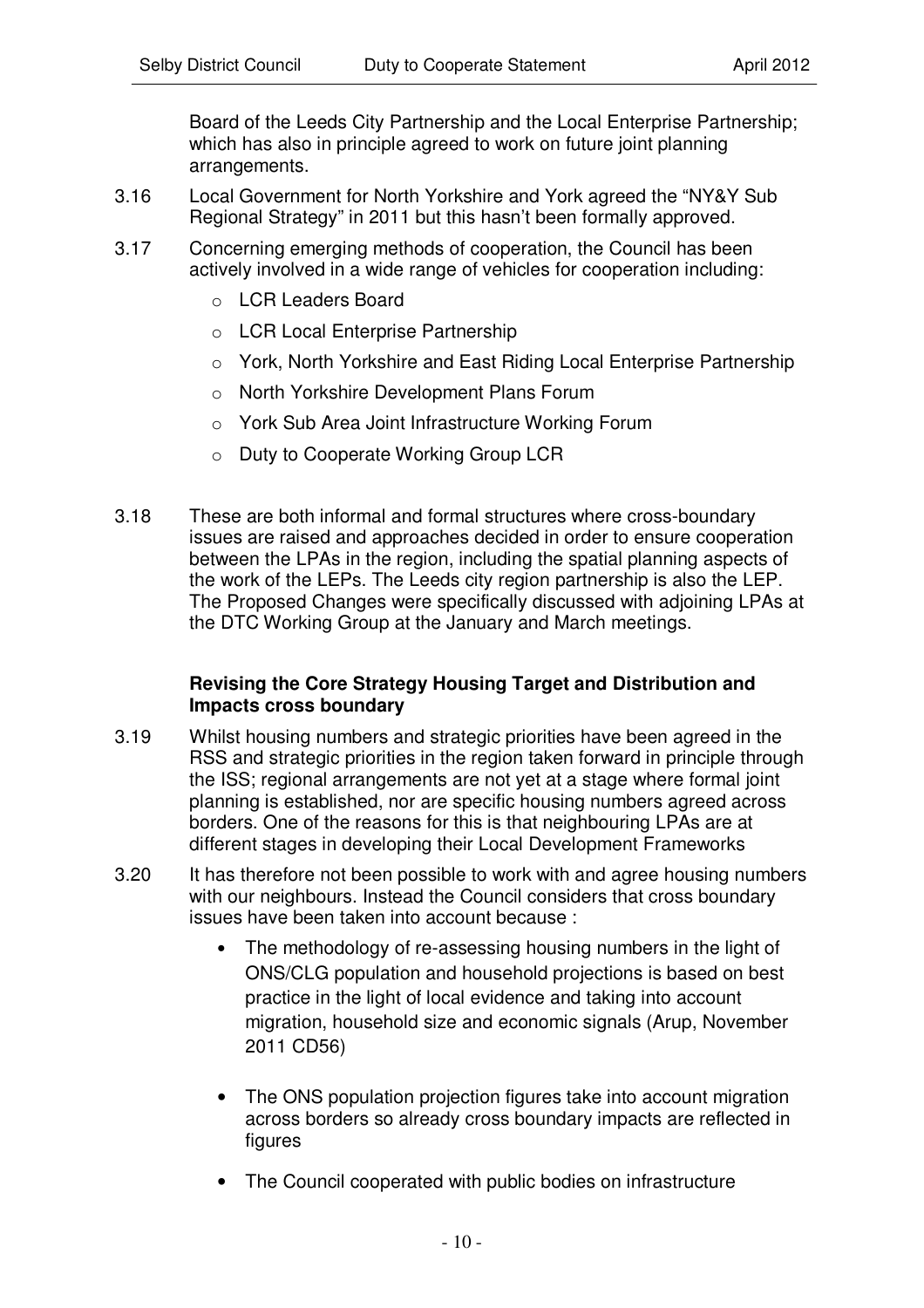Board of the Leeds City Partnership and the Local Enterprise Partnership; which has also in principle agreed to work on future joint planning arrangements.

- 3.16 Local Government for North Yorkshire and York agreed the "NY&Y Sub Regional Strategy" in 2011 but this hasn't been formally approved.
- 3.17 Concerning emerging methods of cooperation, the Council has been actively involved in a wide range of vehicles for cooperation including:
	- o LCR Leaders Board
	- o LCR Local Enterprise Partnership
	- o York, North Yorkshire and East Riding Local Enterprise Partnership
	- o North Yorkshire Development Plans Forum
	- o York Sub Area Joint Infrastructure Working Forum
	- o Duty to Cooperate Working Group LCR
- 3.18 These are both informal and formal structures where cross-boundary issues are raised and approaches decided in order to ensure cooperation between the LPAs in the region, including the spatial planning aspects of the work of the LEPs. The Leeds city region partnership is also the LEP. The Proposed Changes were specifically discussed with adjoining LPAs at the DTC Working Group at the January and March meetings.

#### **Revising the Core Strategy Housing Target and Distribution and Impacts cross boundary**

- 3.19 Whilst housing numbers and strategic priorities have been agreed in the RSS and strategic priorities in the region taken forward in principle through the ISS; regional arrangements are not yet at a stage where formal joint planning is established, nor are specific housing numbers agreed across borders. One of the reasons for this is that neighbouring LPAs are at different stages in developing their Local Development Frameworks
- 3.20 It has therefore not been possible to work with and agree housing numbers with our neighbours. Instead the Council considers that cross boundary issues have been taken into account because :
	- The methodology of re-assessing housing numbers in the light of ONS/CLG population and household projections is based on best practice in the light of local evidence and taking into account migration, household size and economic signals (Arup, November 2011 CD56)
	- The ONS population projection figures take into account migration across borders so already cross boundary impacts are reflected in figures
	- The Council cooperated with public bodies on infrastructure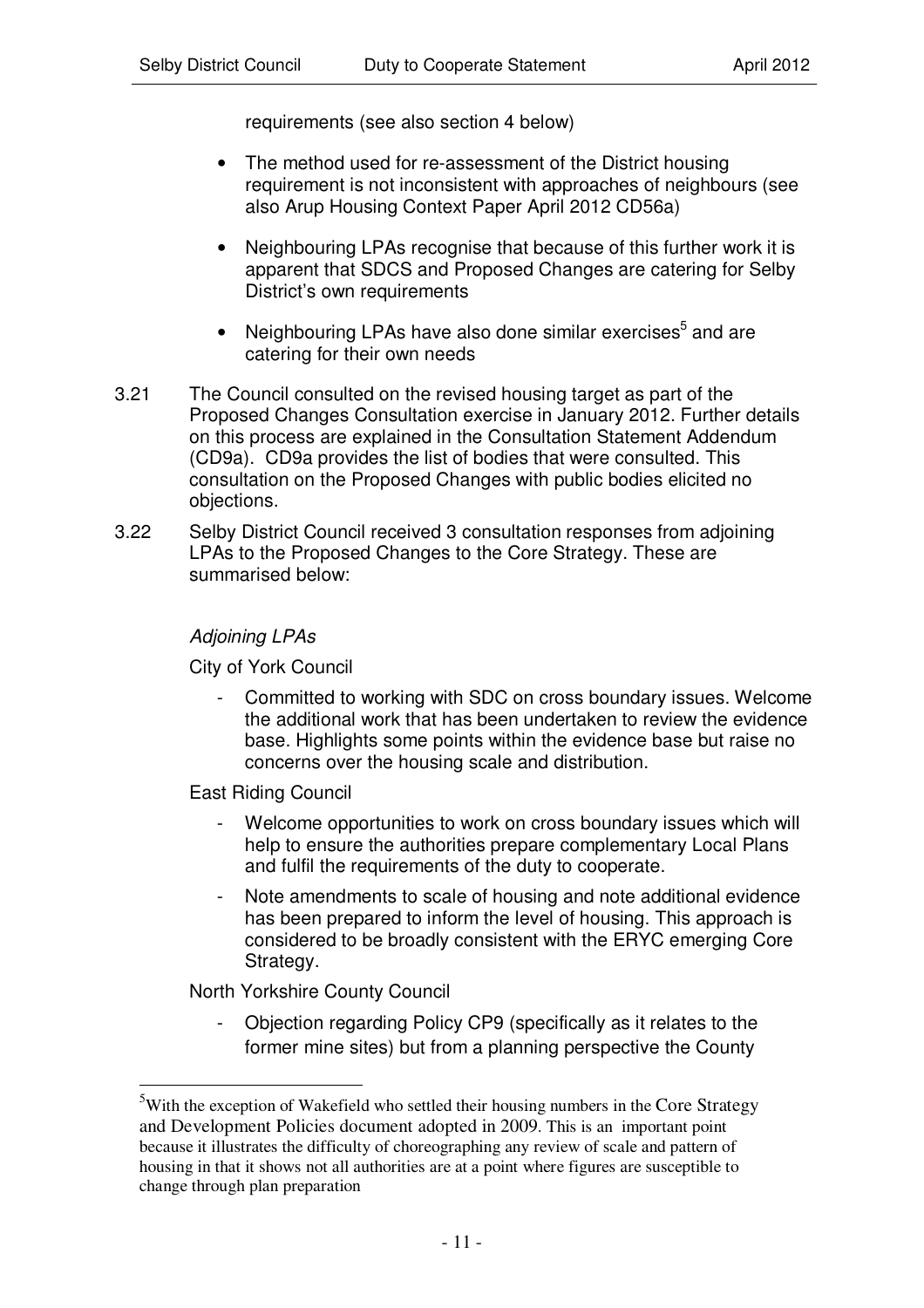requirements (see also section 4 below)

- The method used for re-assessment of the District housing requirement is not inconsistent with approaches of neighbours (see also Arup Housing Context Paper April 2012 CD56a)
- Neighbouring LPAs recognise that because of this further work it is apparent that SDCS and Proposed Changes are catering for Selby District's own requirements
- Neighbouring LPAs have also done similar exercises<sup>5</sup> and are catering for their own needs
- 3.21 The Council consulted on the revised housing target as part of the Proposed Changes Consultation exercise in January 2012. Further details on this process are explained in the Consultation Statement Addendum (CD9a). CD9a provides the list of bodies that were consulted. This consultation on the Proposed Changes with public bodies elicited no objections.
- 3.22 Selby District Council received 3 consultation responses from adjoining LPAs to the Proposed Changes to the Core Strategy. These are summarised below:

#### *Adjoining LPAs*

City of York Council

- Committed to working with SDC on cross boundary issues. Welcome the additional work that has been undertaken to review the evidence base. Highlights some points within the evidence base but raise no concerns over the housing scale and distribution.

East Riding Council

- Welcome opportunities to work on cross boundary issues which will help to ensure the authorities prepare complementary Local Plans and fulfil the requirements of the duty to cooperate.
- Note amendments to scale of housing and note additional evidence has been prepared to inform the level of housing. This approach is considered to be broadly consistent with the ERYC emerging Core Strategy.

North Yorkshire County Council

- Objection regarding Policy CP9 (specifically as it relates to the former mine sites) but from a planning perspective the County

<sup>&</sup>lt;sup>5</sup>With the exception of Wakefield who settled their housing numbers in the Core Strategy and Development Policies document adopted in 2009. This is an important point because it illustrates the difficulty of choreographing any review of scale and pattern of housing in that it shows not all authorities are at a point where figures are susceptible to change through plan preparation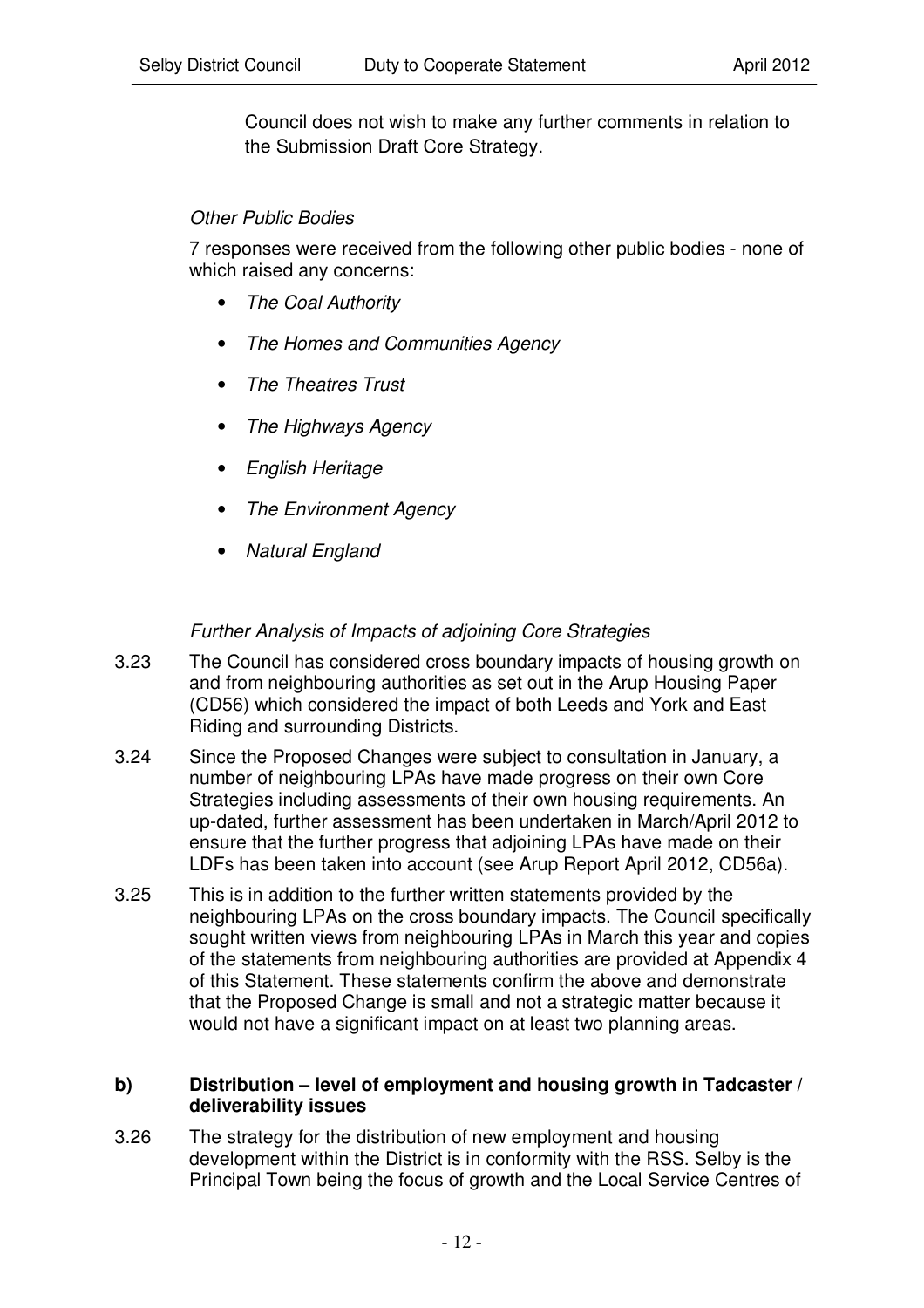Council does not wish to make any further comments in relation to the Submission Draft Core Strategy.

#### *Other Public Bodies*

7 responses were received from the following other public bodies - none of which raised any concerns:

- *The Coal Authority*
- *The Homes and Communities Agency*
- *The Theatres Trust*
- *The Highways Agency*
- *English Heritage*
- *The Environment Agency*
- *Natural England*

#### *Further Analysis of Impacts of adjoining Core Strategies*

- 3.23 The Council has considered cross boundary impacts of housing growth on and from neighbouring authorities as set out in the Arup Housing Paper (CD56) which considered the impact of both Leeds and York and East Riding and surrounding Districts.
- 3.24 Since the Proposed Changes were subject to consultation in January, a number of neighbouring LPAs have made progress on their own Core Strategies including assessments of their own housing requirements. An up-dated, further assessment has been undertaken in March/April 2012 to ensure that the further progress that adjoining LPAs have made on their LDFs has been taken into account (see Arup Report April 2012, CD56a).
- 3.25 This is in addition to the further written statements provided by the neighbouring LPAs on the cross boundary impacts. The Council specifically sought written views from neighbouring LPAs in March this year and copies of the statements from neighbouring authorities are provided at Appendix 4 of this Statement. These statements confirm the above and demonstrate that the Proposed Change is small and not a strategic matter because it would not have a significant impact on at least two planning areas.

#### **b) Distribution – level of employment and housing growth in Tadcaster / deliverability issues**

3.26 The strategy for the distribution of new employment and housing development within the District is in conformity with the RSS. Selby is the Principal Town being the focus of growth and the Local Service Centres of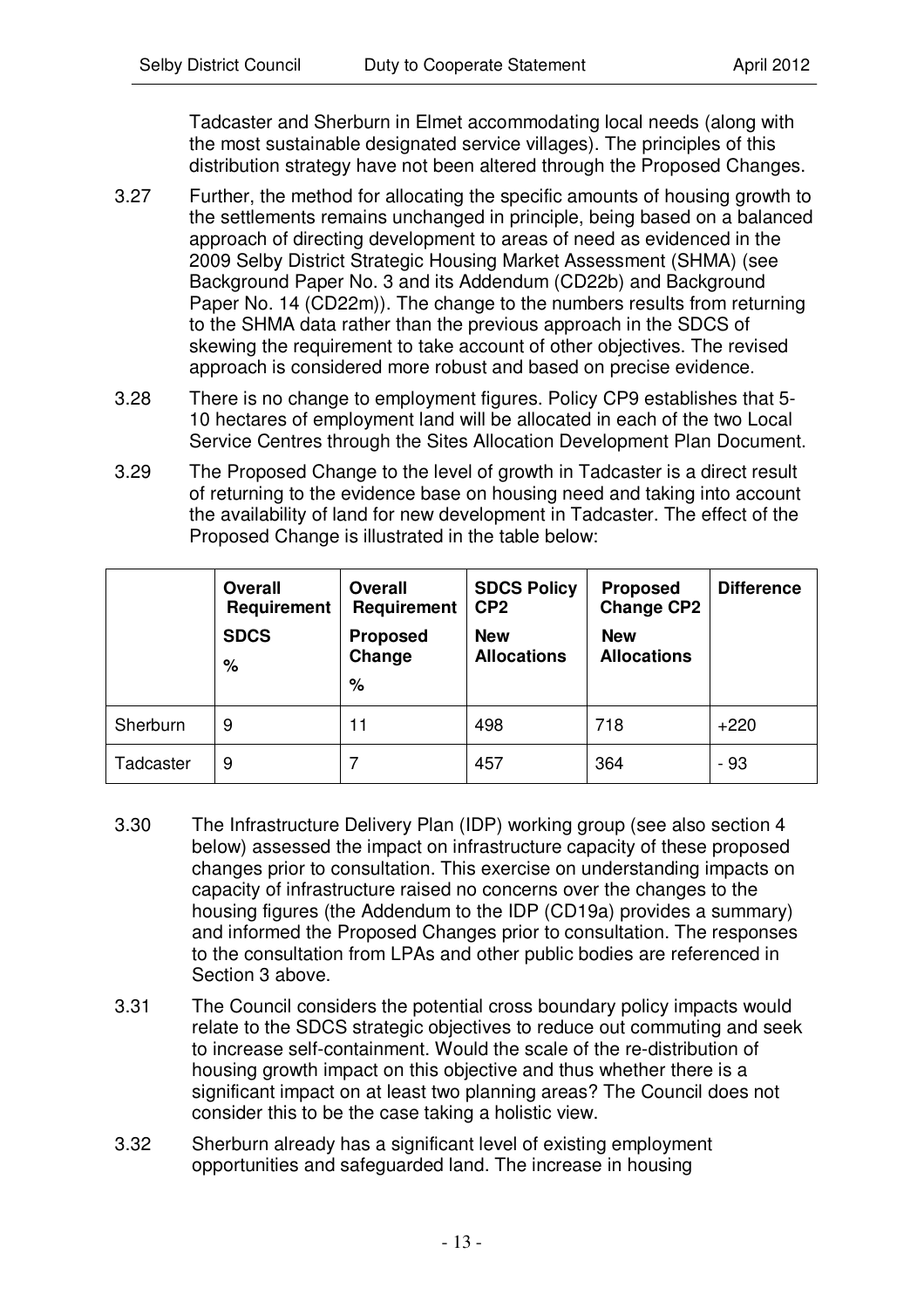Tadcaster and Sherburn in Elmet accommodating local needs (along with the most sustainable designated service villages). The principles of this distribution strategy have not been altered through the Proposed Changes.

- 3.27 Further, the method for allocating the specific amounts of housing growth to the settlements remains unchanged in principle, being based on a balanced approach of directing development to areas of need as evidenced in the 2009 Selby District Strategic Housing Market Assessment (SHMA) (see Background Paper No. 3 and its Addendum (CD22b) and Background Paper No. 14 (CD22m)). The change to the numbers results from returning to the SHMA data rather than the previous approach in the SDCS of skewing the requirement to take account of other objectives. The revised approach is considered more robust and based on precise evidence.
- 3.28 There is no change to employment figures. Policy CP9 establishes that 5- 10 hectares of employment land will be allocated in each of the two Local Service Centres through the Sites Allocation Development Plan Document.
- 3.29 The Proposed Change to the level of growth in Tadcaster is a direct result of returning to the evidence base on housing need and taking into account the availability of land for new development in Tadcaster. The effect of the Proposed Change is illustrated in the table below:

|           | <b>Overall</b><br>Requirement<br><b>SDCS</b><br>% | <b>Overall</b><br>Requirement<br><b>Proposed</b><br>Change<br>% | <b>SDCS Policy</b><br>CP <sub>2</sub><br><b>New</b><br><b>Allocations</b> | <b>Proposed</b><br><b>Change CP2</b><br><b>New</b><br><b>Allocations</b> | <b>Difference</b> |
|-----------|---------------------------------------------------|-----------------------------------------------------------------|---------------------------------------------------------------------------|--------------------------------------------------------------------------|-------------------|
| Sherburn  | 9                                                 | 11                                                              | 498                                                                       | 718                                                                      | $+220$            |
| Tadcaster | 9                                                 |                                                                 | 457                                                                       | 364                                                                      | - 93              |

- 3.30 The Infrastructure Delivery Plan (IDP) working group (see also section 4 below) assessed the impact on infrastructure capacity of these proposed changes prior to consultation. This exercise on understanding impacts on capacity of infrastructure raised no concerns over the changes to the housing figures (the Addendum to the IDP (CD19a) provides a summary) and informed the Proposed Changes prior to consultation. The responses to the consultation from LPAs and other public bodies are referenced in Section 3 above.
- 3.31 The Council considers the potential cross boundary policy impacts would relate to the SDCS strategic objectives to reduce out commuting and seek to increase self-containment. Would the scale of the re-distribution of housing growth impact on this objective and thus whether there is a significant impact on at least two planning areas? The Council does not consider this to be the case taking a holistic view.
- 3.32 Sherburn already has a significant level of existing employment opportunities and safeguarded land. The increase in housing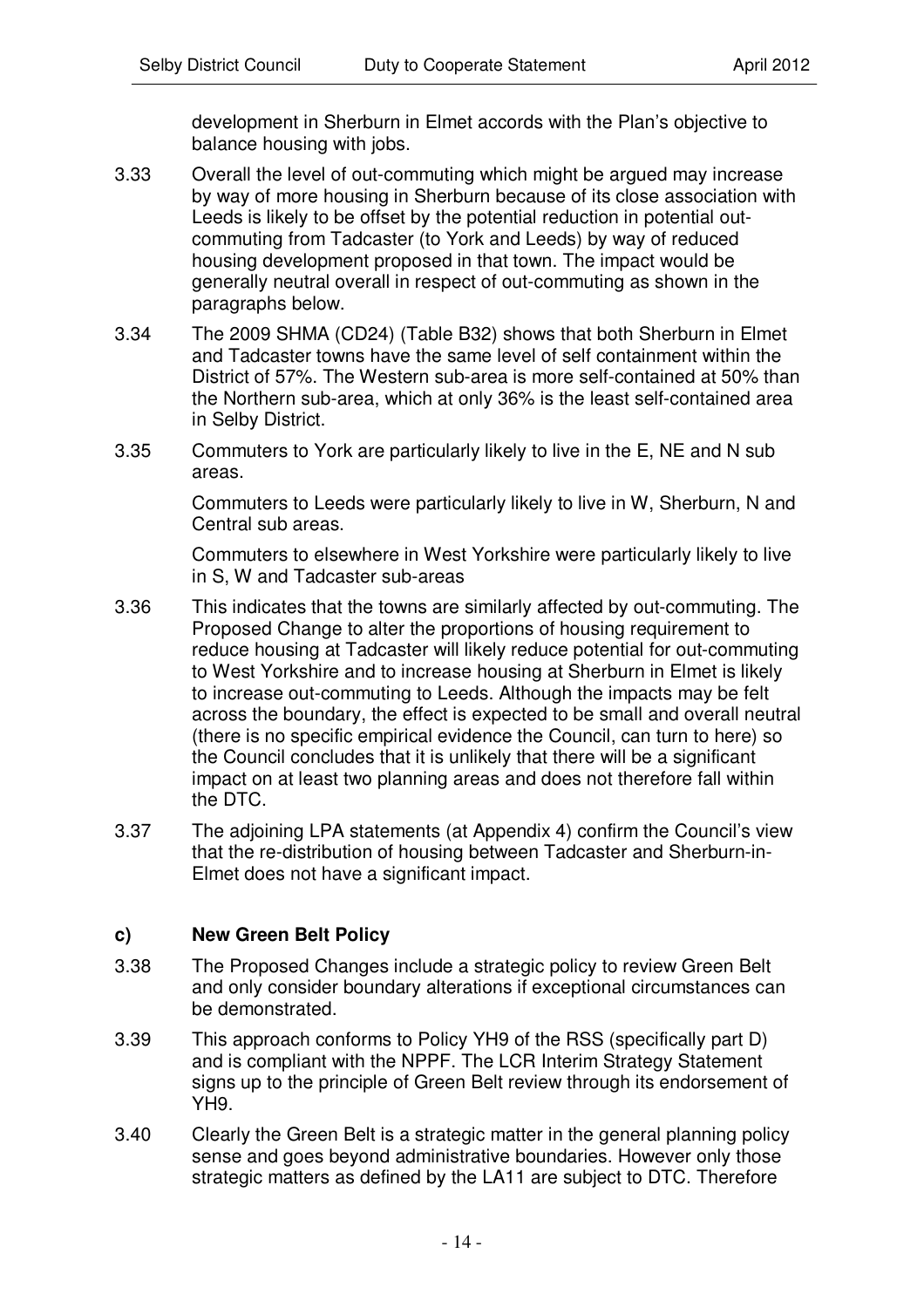development in Sherburn in Elmet accords with the Plan's objective to balance housing with jobs.

- 3.33 Overall the level of out-commuting which might be argued may increase by way of more housing in Sherburn because of its close association with Leeds is likely to be offset by the potential reduction in potential outcommuting from Tadcaster (to York and Leeds) by way of reduced housing development proposed in that town. The impact would be generally neutral overall in respect of out-commuting as shown in the paragraphs below.
- 3.34 The 2009 SHMA (CD24) (Table B32) shows that both Sherburn in Elmet and Tadcaster towns have the same level of self containment within the District of 57%. The Western sub-area is more self-contained at 50% than the Northern sub-area, which at only 36% is the least self-contained area in Selby District.
- 3.35 Commuters to York are particularly likely to live in the E, NE and N sub areas.

Commuters to Leeds were particularly likely to live in W, Sherburn, N and Central sub areas.

Commuters to elsewhere in West Yorkshire were particularly likely to live in S, W and Tadcaster sub-areas

- 3.36 This indicates that the towns are similarly affected by out-commuting. The Proposed Change to alter the proportions of housing requirement to reduce housing at Tadcaster will likely reduce potential for out-commuting to West Yorkshire and to increase housing at Sherburn in Elmet is likely to increase out-commuting to Leeds. Although the impacts may be felt across the boundary, the effect is expected to be small and overall neutral (there is no specific empirical evidence the Council, can turn to here) so the Council concludes that it is unlikely that there will be a significant impact on at least two planning areas and does not therefore fall within the DTC.
- 3.37 The adjoining LPA statements (at Appendix 4) confirm the Council's view that the re-distribution of housing between Tadcaster and Sherburn-in-Elmet does not have a significant impact.

#### **c) New Green Belt Policy**

- 3.38 The Proposed Changes include a strategic policy to review Green Belt and only consider boundary alterations if exceptional circumstances can be demonstrated.
- 3.39 This approach conforms to Policy YH9 of the RSS (specifically part D) and is compliant with the NPPF. The LCR Interim Strategy Statement signs up to the principle of Green Belt review through its endorsement of YH9.
- 3.40 Clearly the Green Belt is a strategic matter in the general planning policy sense and goes beyond administrative boundaries. However only those strategic matters as defined by the LA11 are subject to DTC. Therefore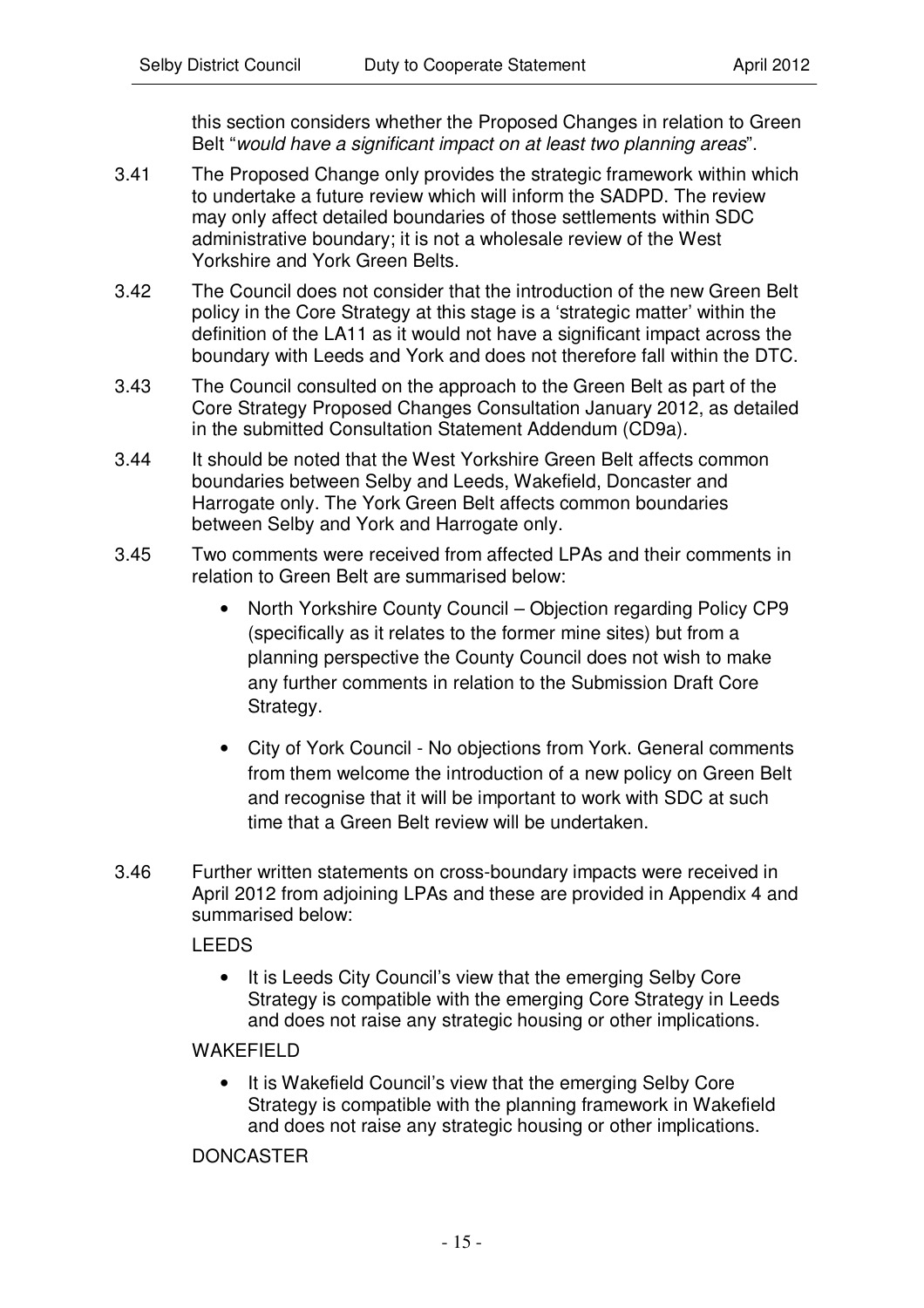this section considers whether the Proposed Changes in relation to Green Belt "*would have a significant impact on at least two planning areas*".

- 3.41 The Proposed Change only provides the strategic framework within which to undertake a future review which will inform the SADPD. The review may only affect detailed boundaries of those settlements within SDC administrative boundary; it is not a wholesale review of the West Yorkshire and York Green Belts.
- 3.42 The Council does not consider that the introduction of the new Green Belt policy in the Core Strategy at this stage is a 'strategic matter' within the definition of the LA11 as it would not have a significant impact across the boundary with Leeds and York and does not therefore fall within the DTC.
- 3.43 The Council consulted on the approach to the Green Belt as part of the Core Strategy Proposed Changes Consultation January 2012, as detailed in the submitted Consultation Statement Addendum (CD9a).
- 3.44 It should be noted that the West Yorkshire Green Belt affects common boundaries between Selby and Leeds, Wakefield, Doncaster and Harrogate only. The York Green Belt affects common boundaries between Selby and York and Harrogate only.
- 3.45 Two comments were received from affected LPAs and their comments in relation to Green Belt are summarised below:
	- North Yorkshire County Council Objection regarding Policy CP9 (specifically as it relates to the former mine sites) but from a planning perspective the County Council does not wish to make any further comments in relation to the Submission Draft Core Strategy.
	- City of York Council No objections from York. General comments from them welcome the introduction of a new policy on Green Belt and recognise that it will be important to work with SDC at such time that a Green Belt review will be undertaken.
- 3.46 Further written statements on cross-boundary impacts were received in April 2012 from adjoining LPAs and these are provided in Appendix 4 and summarised below:

#### LEEDS

• It is Leeds City Council's view that the emerging Selby Core Strategy is compatible with the emerging Core Strategy in Leeds and does not raise any strategic housing or other implications.

#### WAKFFIFI<sub>D</sub>

• It is Wakefield Council's view that the emerging Selby Core Strategy is compatible with the planning framework in Wakefield and does not raise any strategic housing or other implications.

#### DONCASTER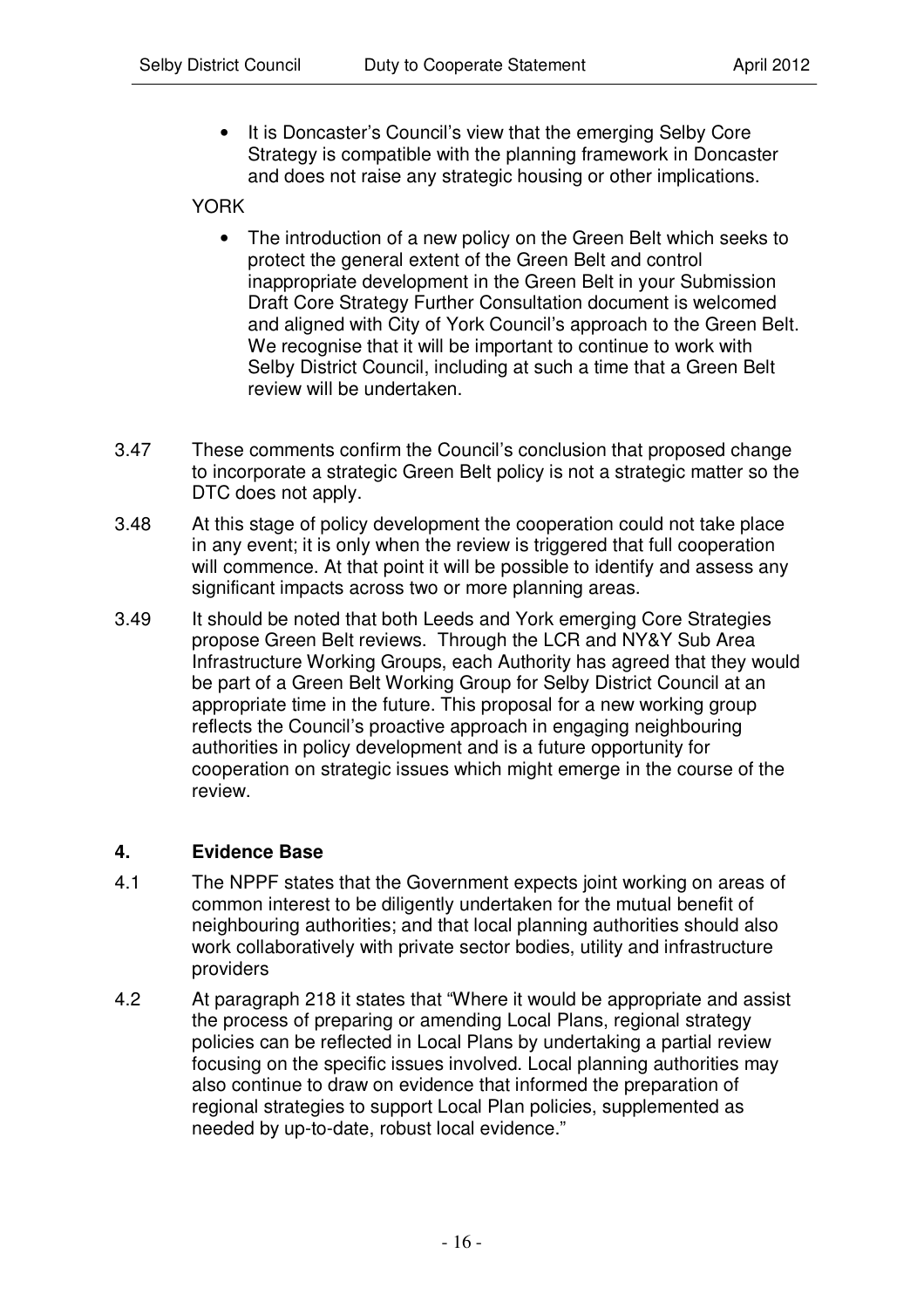It is Doncaster's Council's view that the emerging Selby Core Strategy is compatible with the planning framework in Doncaster and does not raise any strategic housing or other implications.

#### YORK

- The introduction of a new policy on the Green Belt which seeks to protect the general extent of the Green Belt and control inappropriate development in the Green Belt in your Submission Draft Core Strategy Further Consultation document is welcomed and aligned with City of York Council's approach to the Green Belt. We recognise that it will be important to continue to work with Selby District Council, including at such a time that a Green Belt review will be undertaken.
- 3.47 These comments confirm the Council's conclusion that proposed change to incorporate a strategic Green Belt policy is not a strategic matter so the DTC does not apply.
- 3.48 At this stage of policy development the cooperation could not take place in any event; it is only when the review is triggered that full cooperation will commence. At that point it will be possible to identify and assess any significant impacts across two or more planning areas.
- 3.49 It should be noted that both Leeds and York emerging Core Strategies propose Green Belt reviews. Through the LCR and NY&Y Sub Area Infrastructure Working Groups, each Authority has agreed that they would be part of a Green Belt Working Group for Selby District Council at an appropriate time in the future. This proposal for a new working group reflects the Council's proactive approach in engaging neighbouring authorities in policy development and is a future opportunity for cooperation on strategic issues which might emerge in the course of the review.

#### **4. Evidence Base**

- 4.1 The NPPF states that the Government expects joint working on areas of common interest to be diligently undertaken for the mutual benefit of neighbouring authorities; and that local planning authorities should also work collaboratively with private sector bodies, utility and infrastructure providers
- 4.2 At paragraph 218 it states that "Where it would be appropriate and assist the process of preparing or amending Local Plans, regional strategy policies can be reflected in Local Plans by undertaking a partial review focusing on the specific issues involved. Local planning authorities may also continue to draw on evidence that informed the preparation of regional strategies to support Local Plan policies, supplemented as needed by up-to-date, robust local evidence."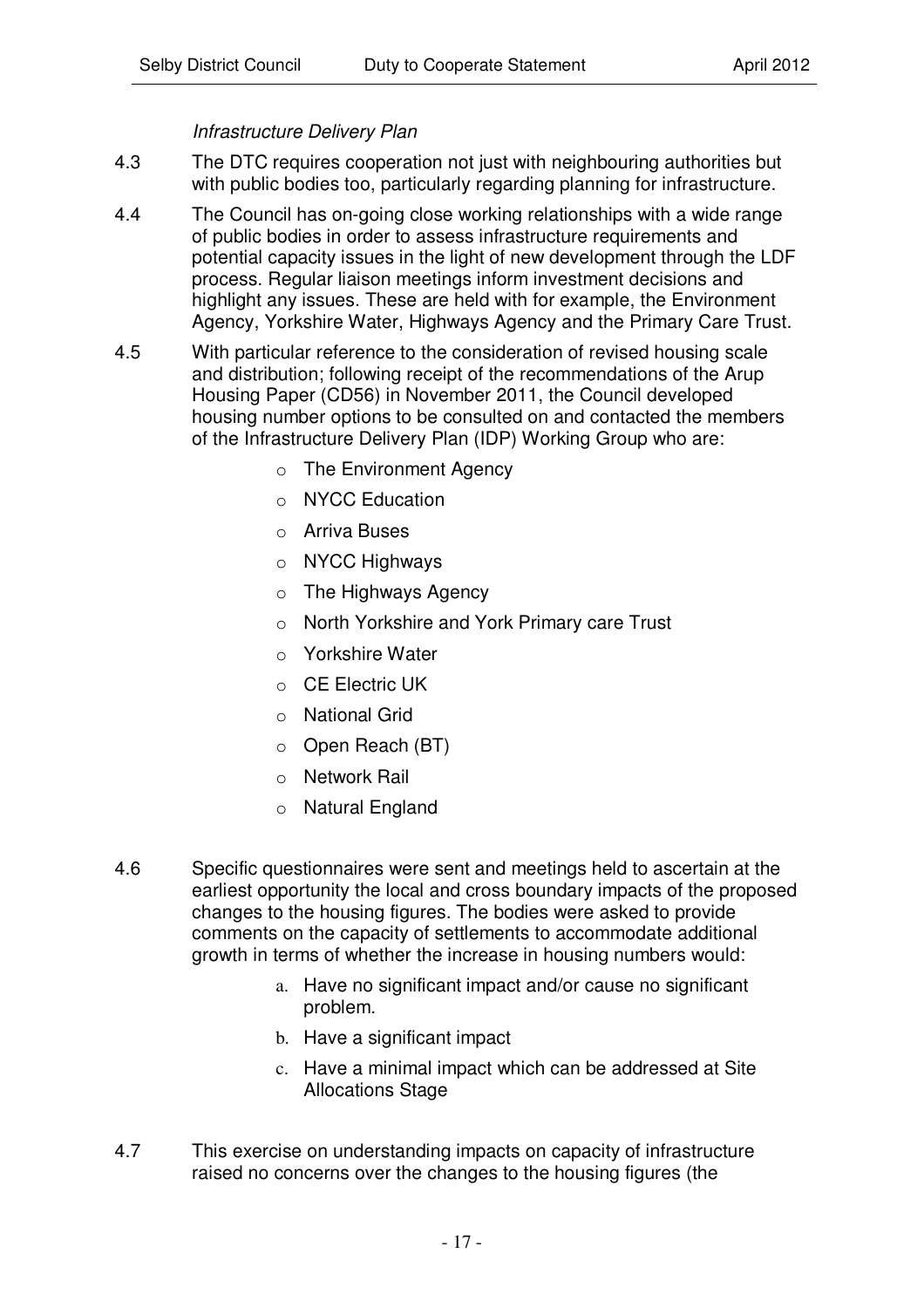# *Infrastructure Delivery Plan*

- 4.3 The DTC requires cooperation not just with neighbouring authorities but with public bodies too, particularly regarding planning for infrastructure.
- 4.4 The Council has on-going close working relationships with a wide range of public bodies in order to assess infrastructure requirements and potential capacity issues in the light of new development through the LDF process. Regular liaison meetings inform investment decisions and highlight any issues. These are held with for example, the Environment Agency, Yorkshire Water, Highways Agency and the Primary Care Trust.
- 4.5 With particular reference to the consideration of revised housing scale and distribution; following receipt of the recommendations of the Arup Housing Paper (CD56) in November 2011, the Council developed housing number options to be consulted on and contacted the members of the Infrastructure Delivery Plan (IDP) Working Group who are:
	- o The Environment Agency
	- o NYCC Education
	- o Arriva Buses
	- o NYCC Highways
	- o The Highways Agency
	- o North Yorkshire and York Primary care Trust
	- o Yorkshire Water
	- o CE Electric UK
	- o National Grid
	- o Open Reach (BT)
	- o Network Rail
	- o Natural England
- 4.6 Specific questionnaires were sent and meetings held to ascertain at the earliest opportunity the local and cross boundary impacts of the proposed changes to the housing figures. The bodies were asked to provide comments on the capacity of settlements to accommodate additional growth in terms of whether the increase in housing numbers would:
	- a. Have no significant impact and/or cause no significant problem.
	- b. Have a significant impact
	- c. Have a minimal impact which can be addressed at Site Allocations Stage
- 4.7 This exercise on understanding impacts on capacity of infrastructure raised no concerns over the changes to the housing figures (the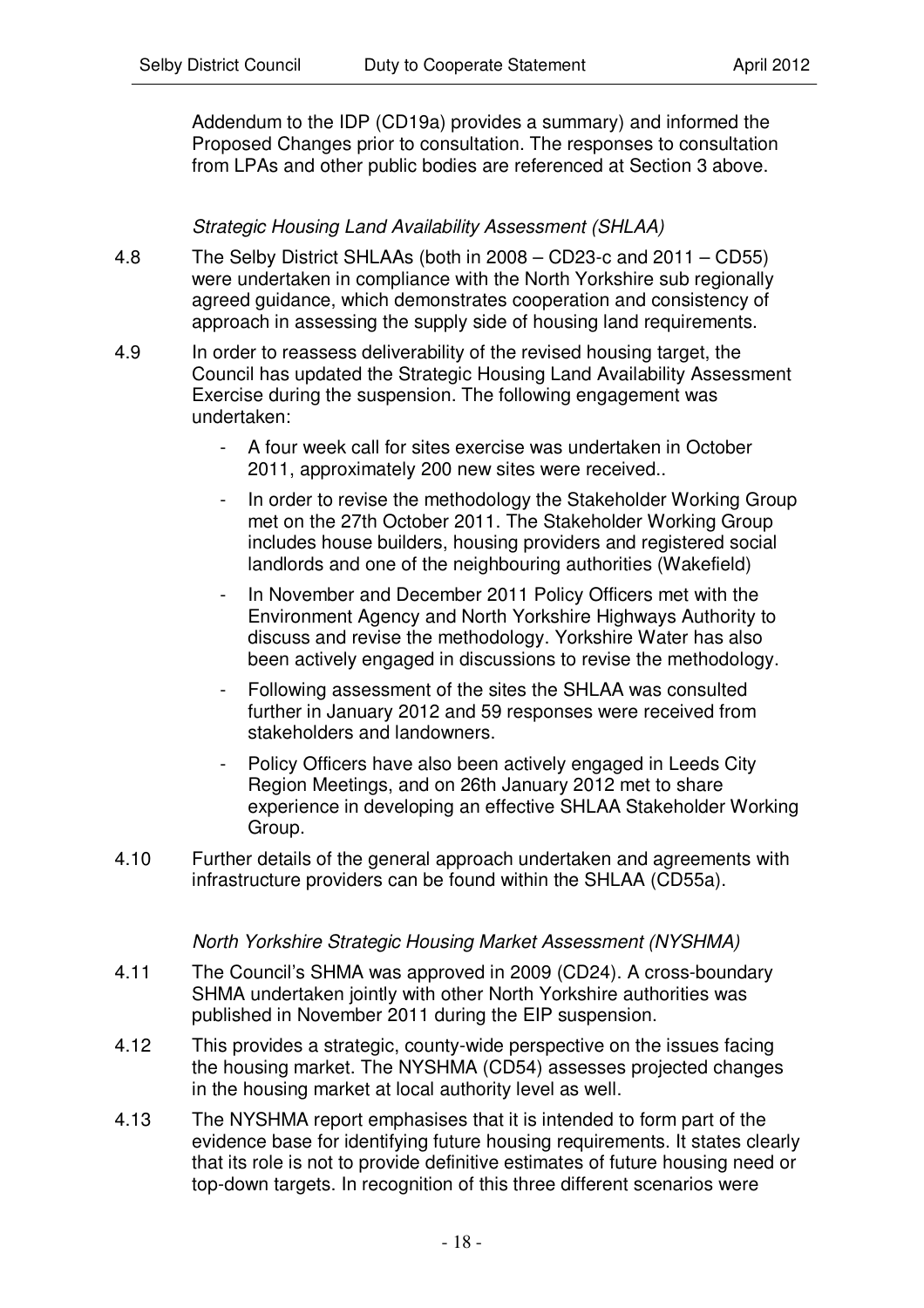Addendum to the IDP (CD19a) provides a summary) and informed the Proposed Changes prior to consultation. The responses to consultation from LPAs and other public bodies are referenced at Section 3 above.

# *Strategic Housing Land Availability Assessment (SHLAA)*

- 4.8 The Selby District SHLAAs (both in 2008 CD23-c and 2011 CD55) were undertaken in compliance with the North Yorkshire sub regionally agreed guidance, which demonstrates cooperation and consistency of approach in assessing the supply side of housing land requirements.
- 4.9 In order to reassess deliverability of the revised housing target, the Council has updated the Strategic Housing Land Availability Assessment Exercise during the suspension. The following engagement was undertaken:
	- A four week call for sites exercise was undertaken in October 2011, approximately 200 new sites were received..
	- In order to revise the methodology the Stakeholder Working Group met on the 27th October 2011. The Stakeholder Working Group includes house builders, housing providers and registered social landlords and one of the neighbouring authorities (Wakefield)
	- In November and December 2011 Policy Officers met with the Environment Agency and North Yorkshire Highways Authority to discuss and revise the methodology. Yorkshire Water has also been actively engaged in discussions to revise the methodology.
	- Following assessment of the sites the SHLAA was consulted further in January 2012 and 59 responses were received from stakeholders and landowners.
	- Policy Officers have also been actively engaged in Leeds City Region Meetings, and on 26th January 2012 met to share experience in developing an effective SHLAA Stakeholder Working Group.
- 4.10 Further details of the general approach undertaken and agreements with infrastructure providers can be found within the SHLAA (CD55a).

#### *North Yorkshire Strategic Housing Market Assessment (NYSHMA)*

- 4.11 The Council's SHMA was approved in 2009 (CD24). A cross-boundary SHMA undertaken jointly with other North Yorkshire authorities was published in November 2011 during the EIP suspension.
- 4.12 This provides a strategic, county-wide perspective on the issues facing the housing market. The NYSHMA (CD54) assesses projected changes in the housing market at local authority level as well.
- 4.13 The NYSHMA report emphasises that it is intended to form part of the evidence base for identifying future housing requirements. It states clearly that its role is not to provide definitive estimates of future housing need or top-down targets. In recognition of this three different scenarios were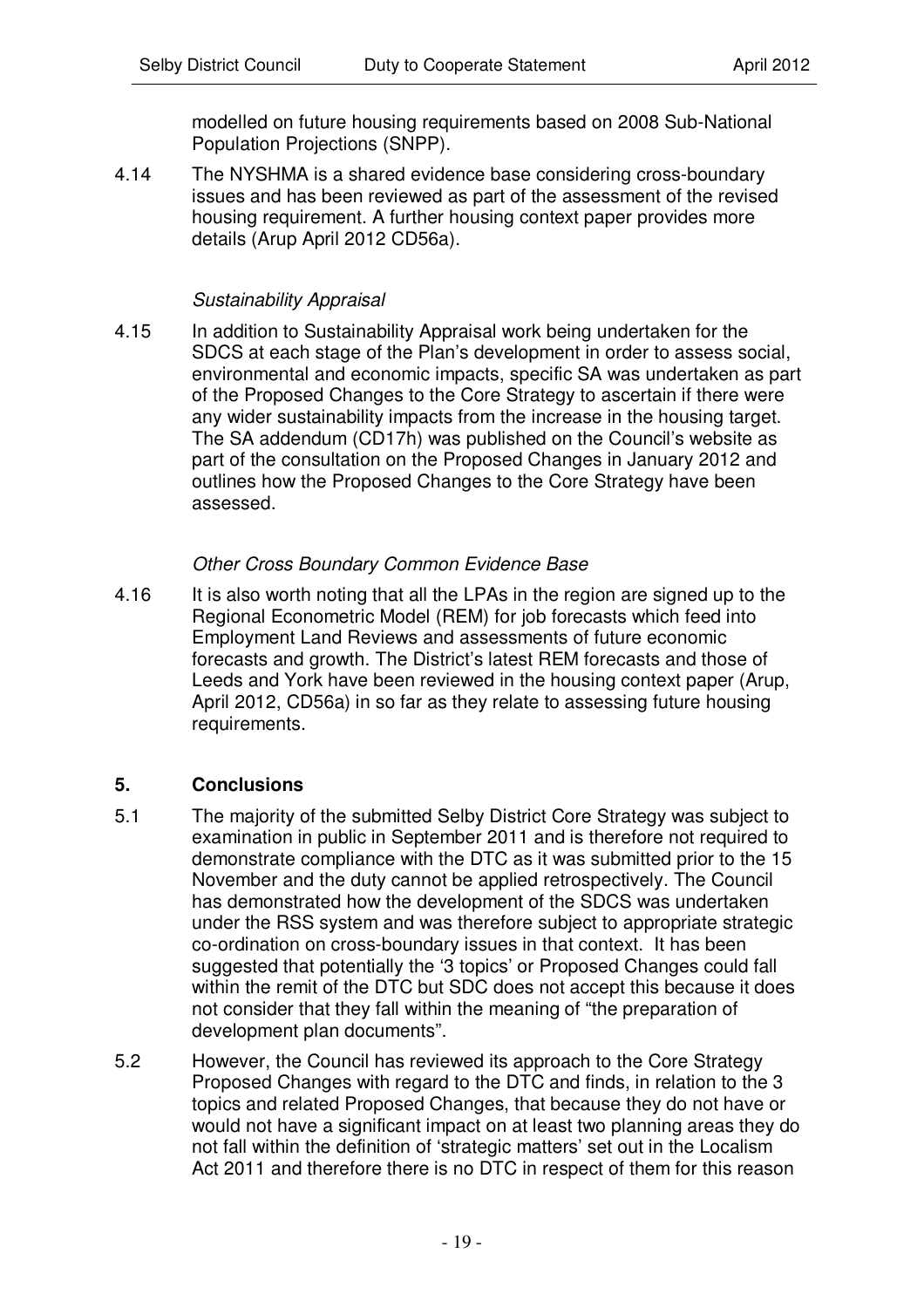modelled on future housing requirements based on 2008 Sub-National Population Projections (SNPP).

4.14 The NYSHMA is a shared evidence base considering cross-boundary issues and has been reviewed as part of the assessment of the revised housing requirement. A further housing context paper provides more details (Arup April 2012 CD56a).

#### *Sustainability Appraisal*

4.15 In addition to Sustainability Appraisal work being undertaken for the SDCS at each stage of the Plan's development in order to assess social, environmental and economic impacts, specific SA was undertaken as part of the Proposed Changes to the Core Strategy to ascertain if there were any wider sustainability impacts from the increase in the housing target. The SA addendum (CD17h) was published on the Council's website as part of the consultation on the Proposed Changes in January 2012 and outlines how the Proposed Changes to the Core Strategy have been assessed.

#### *Other Cross Boundary Common Evidence Base*

4.16 It is also worth noting that all the LPAs in the region are signed up to the Regional Econometric Model (REM) for job forecasts which feed into Employment Land Reviews and assessments of future economic forecasts and growth. The District's latest REM forecasts and those of Leeds and York have been reviewed in the housing context paper (Arup, April 2012, CD56a) in so far as they relate to assessing future housing requirements.

#### **5. Conclusions**

- 5.1 The majority of the submitted Selby District Core Strategy was subject to examination in public in September 2011 and is therefore not required to demonstrate compliance with the DTC as it was submitted prior to the 15 November and the duty cannot be applied retrospectively. The Council has demonstrated how the development of the SDCS was undertaken under the RSS system and was therefore subject to appropriate strategic co-ordination on cross-boundary issues in that context. It has been suggested that potentially the '3 topics' or Proposed Changes could fall within the remit of the DTC but SDC does not accept this because it does not consider that they fall within the meaning of "the preparation of development plan documents".
- 5.2 However, the Council has reviewed its approach to the Core Strategy Proposed Changes with regard to the DTC and finds, in relation to the 3 topics and related Proposed Changes, that because they do not have or would not have a significant impact on at least two planning areas they do not fall within the definition of 'strategic matters' set out in the Localism Act 2011 and therefore there is no DTC in respect of them for this reason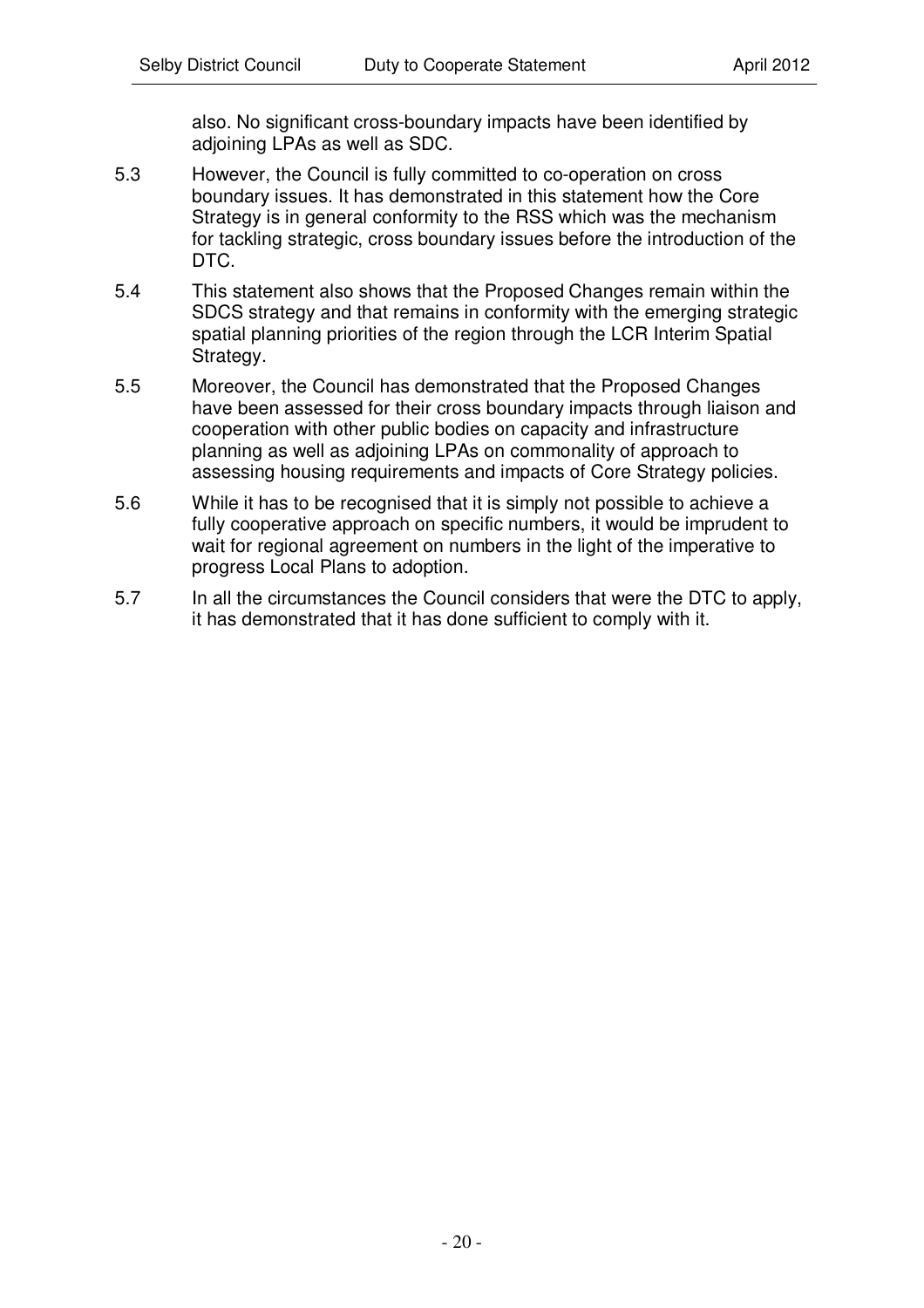also. No significant cross-boundary impacts have been identified by adjoining LPAs as well as SDC.

- 5.3 However, the Council is fully committed to co-operation on cross boundary issues. It has demonstrated in this statement how the Core Strategy is in general conformity to the RSS which was the mechanism for tackling strategic, cross boundary issues before the introduction of the DTC.
- 5.4 This statement also shows that the Proposed Changes remain within the SDCS strategy and that remains in conformity with the emerging strategic spatial planning priorities of the region through the LCR Interim Spatial Strategy.
- 5.5 Moreover, the Council has demonstrated that the Proposed Changes have been assessed for their cross boundary impacts through liaison and cooperation with other public bodies on capacity and infrastructure planning as well as adjoining LPAs on commonality of approach to assessing housing requirements and impacts of Core Strategy policies.
- 5.6 While it has to be recognised that it is simply not possible to achieve a fully cooperative approach on specific numbers, it would be imprudent to wait for regional agreement on numbers in the light of the imperative to progress Local Plans to adoption.
- 5.7 In all the circumstances the Council considers that were the DTC to apply, it has demonstrated that it has done sufficient to comply with it.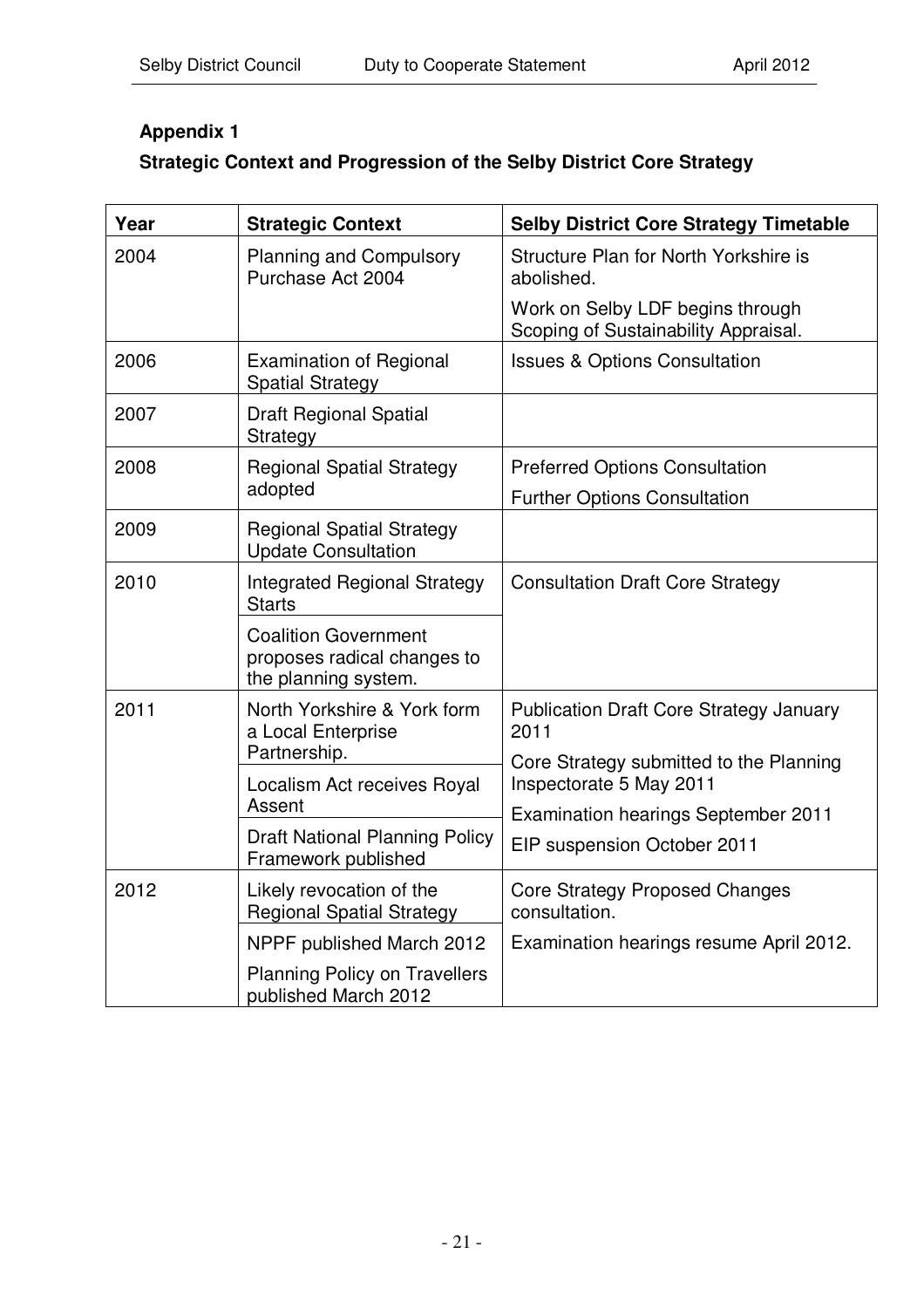# **Appendix 1**

# **Strategic Context and Progression of the Selby District Core Strategy**

| Year                                                        | <b>Strategic Context</b>                                                           | <b>Selby District Core Strategy Timetable</b>                            |  |
|-------------------------------------------------------------|------------------------------------------------------------------------------------|--------------------------------------------------------------------------|--|
| 2004<br><b>Planning and Compulsory</b><br>Purchase Act 2004 |                                                                                    | Structure Plan for North Yorkshire is<br>abolished.                      |  |
|                                                             |                                                                                    | Work on Selby LDF begins through<br>Scoping of Sustainability Appraisal. |  |
| 2006                                                        | <b>Examination of Regional</b><br><b>Spatial Strategy</b>                          | <b>Issues &amp; Options Consultation</b>                                 |  |
| 2007                                                        | <b>Draft Regional Spatial</b><br>Strategy                                          |                                                                          |  |
| 2008                                                        | <b>Regional Spatial Strategy</b>                                                   | <b>Preferred Options Consultation</b>                                    |  |
|                                                             | adopted                                                                            | <b>Further Options Consultation</b>                                      |  |
| 2009                                                        | <b>Regional Spatial Strategy</b><br><b>Update Consultation</b>                     |                                                                          |  |
| 2010                                                        | <b>Integrated Regional Strategy</b><br><b>Starts</b>                               | <b>Consultation Draft Core Strategy</b>                                  |  |
|                                                             | <b>Coalition Government</b><br>proposes radical changes to<br>the planning system. |                                                                          |  |
| 2011                                                        | North Yorkshire & York form<br>a Local Enterprise                                  | <b>Publication Draft Core Strategy January</b><br>2011                   |  |
|                                                             | Partnership.                                                                       | Core Strategy submitted to the Planning<br>Inspectorate 5 May 2011       |  |
|                                                             | Localism Act receives Royal<br>Assent                                              | <b>Examination hearings September 2011</b>                               |  |
|                                                             | <b>Draft National Planning Policy</b><br>Framework published                       | EIP suspension October 2011                                              |  |
| 2012                                                        | Likely revocation of the<br><b>Regional Spatial Strategy</b>                       | <b>Core Strategy Proposed Changes</b><br>consultation.                   |  |
|                                                             | NPPF published March 2012                                                          | Examination hearings resume April 2012.                                  |  |
|                                                             | <b>Planning Policy on Travellers</b><br>published March 2012                       |                                                                          |  |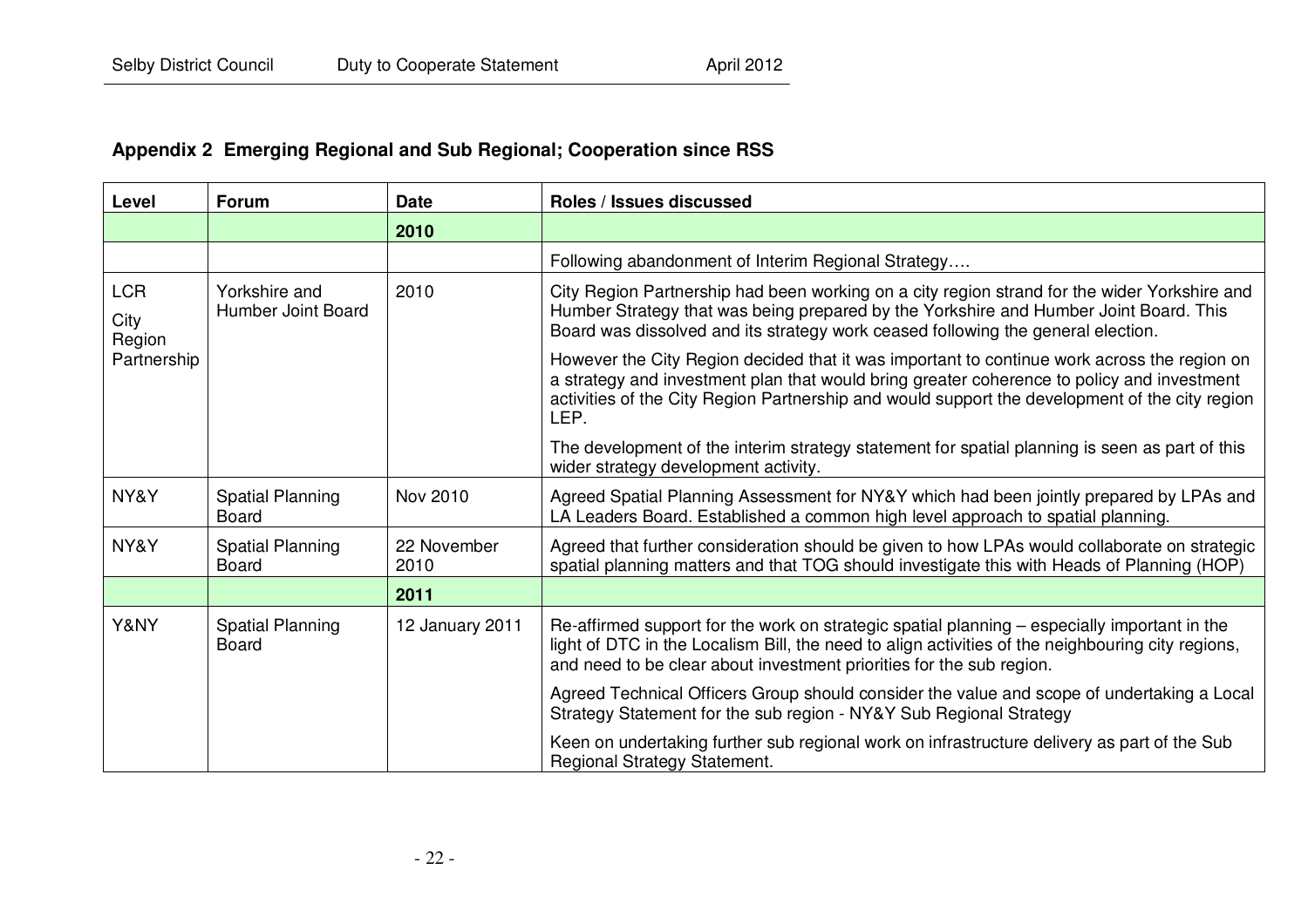# **Appendix 2 Emerging Regional and Sub Regional; Cooperation since RSS**

| Level                        | <b>Forum</b>                            | <b>Date</b>         | Roles / Issues discussed                                                                                                                                                                                                                                                                            |
|------------------------------|-----------------------------------------|---------------------|-----------------------------------------------------------------------------------------------------------------------------------------------------------------------------------------------------------------------------------------------------------------------------------------------------|
|                              |                                         | 2010                |                                                                                                                                                                                                                                                                                                     |
|                              |                                         |                     | Following abandonment of Interim Regional Strategy                                                                                                                                                                                                                                                  |
| <b>LCR</b><br>City<br>Region | Yorkshire and<br>Humber Joint Board     | 2010                | City Region Partnership had been working on a city region strand for the wider Yorkshire and<br>Humber Strategy that was being prepared by the Yorkshire and Humber Joint Board. This<br>Board was dissolved and its strategy work ceased following the general election.                           |
| Partnership                  |                                         |                     | However the City Region decided that it was important to continue work across the region on<br>a strategy and investment plan that would bring greater coherence to policy and investment<br>activities of the City Region Partnership and would support the development of the city region<br>LEP. |
|                              |                                         |                     | The development of the interim strategy statement for spatial planning is seen as part of this<br>wider strategy development activity.                                                                                                                                                              |
| NY&Y                         | <b>Spatial Planning</b><br><b>Board</b> | Nov 2010            | Agreed Spatial Planning Assessment for NY&Y which had been jointly prepared by LPAs and<br>LA Leaders Board. Established a common high level approach to spatial planning.                                                                                                                          |
| NY&Y                         | <b>Spatial Planning</b><br><b>Board</b> | 22 November<br>2010 | Agreed that further consideration should be given to how LPAs would collaborate on strategic<br>spatial planning matters and that TOG should investigate this with Heads of Planning (HOP)                                                                                                          |
|                              |                                         | 2011                |                                                                                                                                                                                                                                                                                                     |
| Y&NY                         | <b>Spatial Planning</b><br><b>Board</b> | 12 January 2011     | Re-affirmed support for the work on strategic spatial planning – especially important in the<br>light of DTC in the Localism Bill, the need to align activities of the neighbouring city regions,<br>and need to be clear about investment priorities for the sub region.                           |
|                              |                                         |                     | Agreed Technical Officers Group should consider the value and scope of undertaking a Local<br>Strategy Statement for the sub region - NY&Y Sub Regional Strategy                                                                                                                                    |
|                              |                                         |                     | Keen on undertaking further sub regional work on infrastructure delivery as part of the Sub<br>Regional Strategy Statement.                                                                                                                                                                         |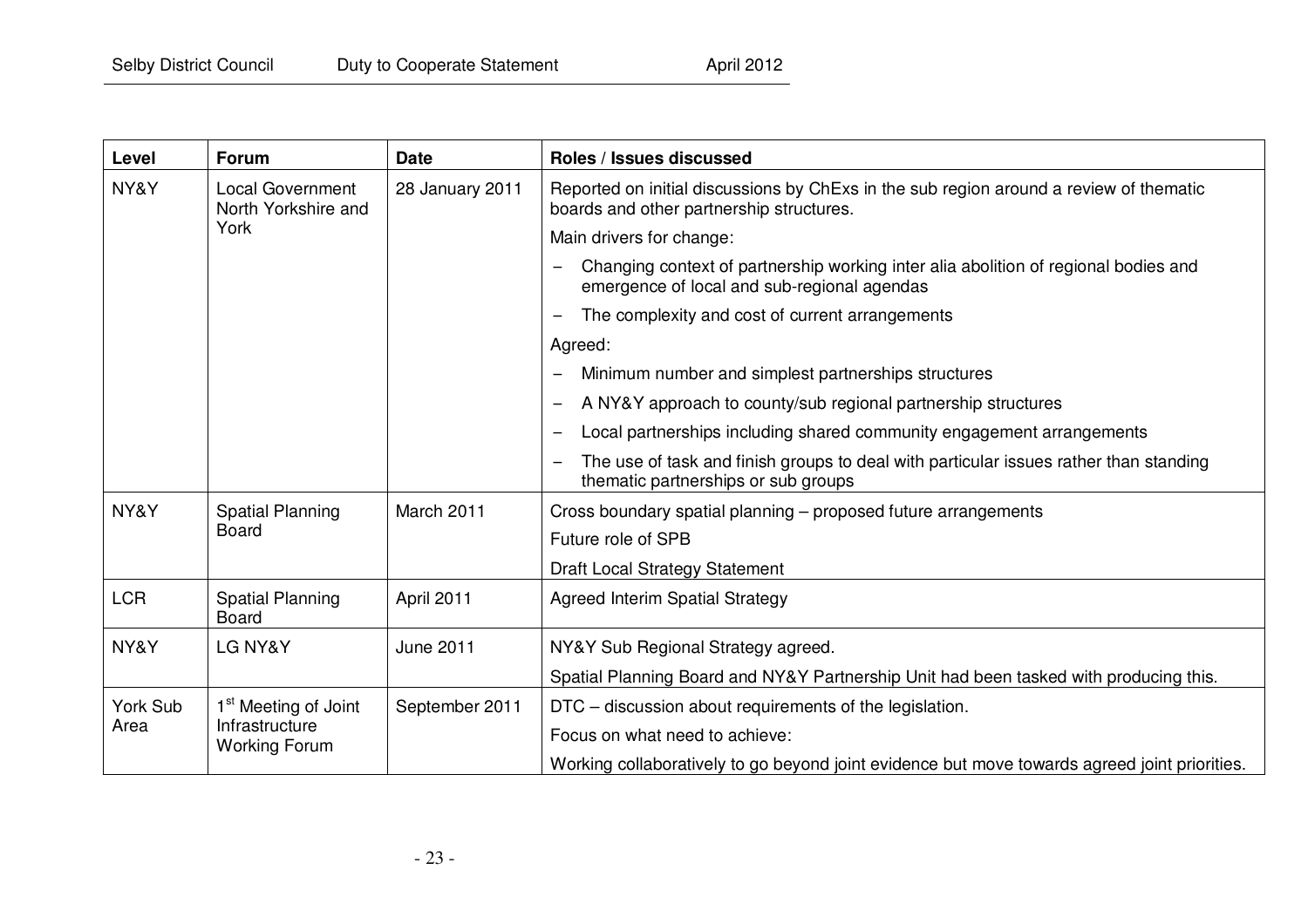| Level      | <b>Forum</b>                                                               | <b>Date</b>     | Roles / Issues discussed                                                                                                           |
|------------|----------------------------------------------------------------------------|-----------------|------------------------------------------------------------------------------------------------------------------------------------|
| NY&Y       | <b>Local Government</b><br>North Yorkshire and<br>York                     | 28 January 2011 | Reported on initial discussions by ChExs in the sub region around a review of thematic<br>boards and other partnership structures. |
|            |                                                                            |                 | Main drivers for change:                                                                                                           |
|            |                                                                            |                 | Changing context of partnership working inter alia abolition of regional bodies and<br>emergence of local and sub-regional agendas |
|            |                                                                            |                 | The complexity and cost of current arrangements                                                                                    |
|            |                                                                            |                 | Agreed:                                                                                                                            |
|            |                                                                            |                 | Minimum number and simplest partnerships structures                                                                                |
|            |                                                                            |                 | A NY&Y approach to county/sub regional partnership structures                                                                      |
|            |                                                                            |                 | Local partnerships including shared community engagement arrangements<br>$\overline{\phantom{m}}$                                  |
|            |                                                                            |                 | The use of task and finish groups to deal with particular issues rather than standing<br>thematic partnerships or sub groups       |
| NY&Y       | <b>Spatial Planning</b><br><b>Board</b>                                    | March 2011      | Cross boundary spatial planning - proposed future arrangements                                                                     |
|            |                                                                            |                 | Future role of SPB                                                                                                                 |
|            |                                                                            |                 | <b>Draft Local Strategy Statement</b>                                                                                              |
| <b>LCR</b> | <b>Spatial Planning</b><br><b>Board</b>                                    | April 2011      | <b>Agreed Interim Spatial Strategy</b>                                                                                             |
| NY&Y       | LG NY&Y                                                                    | June 2011       | NY&Y Sub Regional Strategy agreed.                                                                                                 |
|            |                                                                            |                 | Spatial Planning Board and NY&Y Partnership Unit had been tasked with producing this.                                              |
| York Sub   | 1 <sup>st</sup> Meeting of Joint<br>Infrastructure<br><b>Working Forum</b> | September 2011  | DTC – discussion about requirements of the legislation.                                                                            |
| Area       |                                                                            |                 | Focus on what need to achieve:                                                                                                     |
|            |                                                                            |                 | Working collaboratively to go beyond joint evidence but move towards agreed joint priorities.                                      |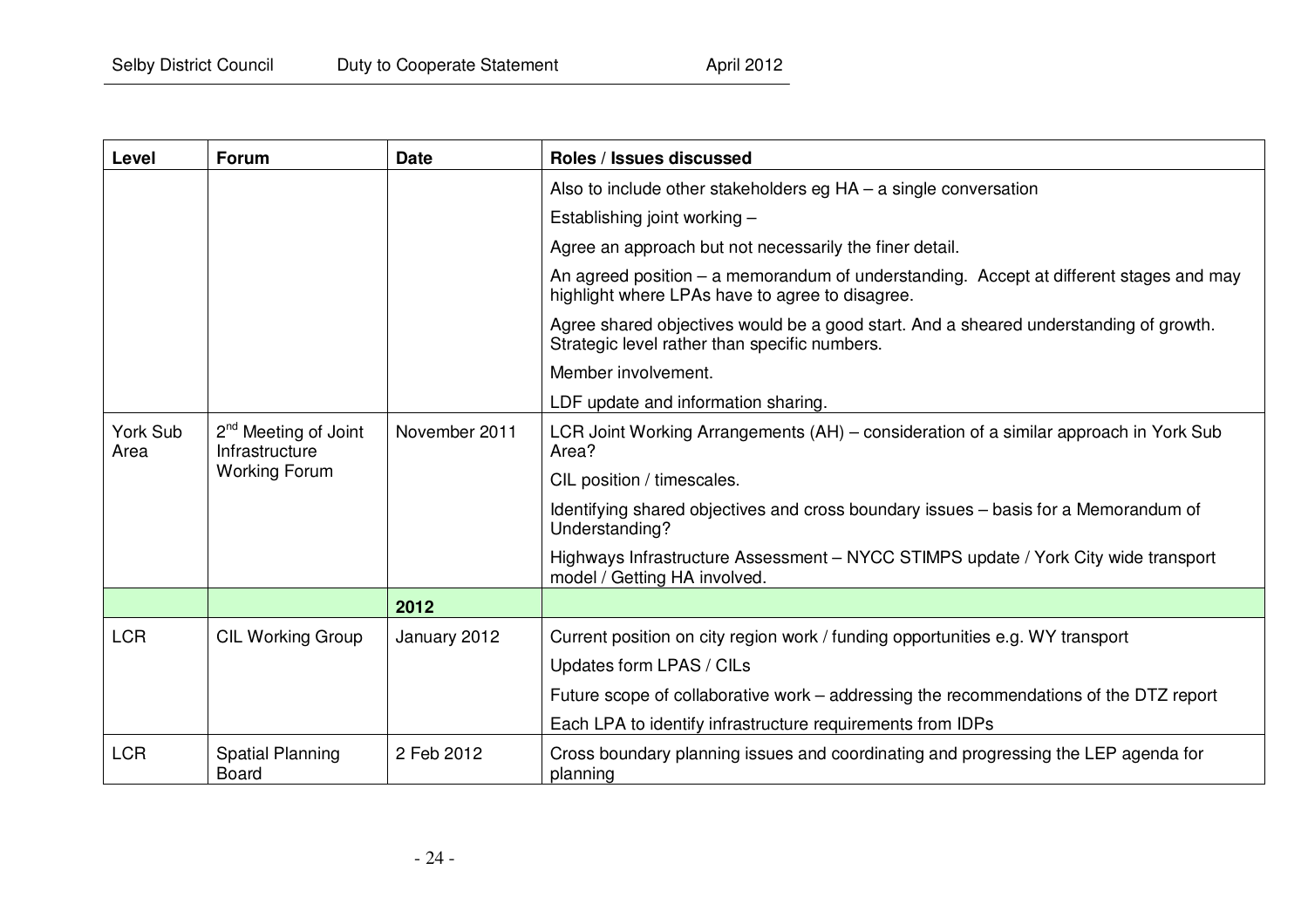| Level            | <b>Forum</b>                                       | <b>Date</b>   | Roles / Issues discussed                                                                                                                  |
|------------------|----------------------------------------------------|---------------|-------------------------------------------------------------------------------------------------------------------------------------------|
|                  |                                                    |               | Also to include other stakeholders eg $HA - a$ single conversation                                                                        |
|                  |                                                    |               | Establishing joint working -                                                                                                              |
|                  |                                                    |               | Agree an approach but not necessarily the finer detail.                                                                                   |
|                  |                                                    |               | An agreed position - a memorandum of understanding. Accept at different stages and may<br>highlight where LPAs have to agree to disagree. |
|                  |                                                    |               | Agree shared objectives would be a good start. And a sheared understanding of growth.<br>Strategic level rather than specific numbers.    |
|                  |                                                    |               | Member involvement.                                                                                                                       |
|                  |                                                    |               | LDF update and information sharing.                                                                                                       |
| York Sub<br>Area | 2 <sup>nd</sup> Meeting of Joint<br>Infrastructure | November 2011 | LCR Joint Working Arrangements (AH) – consideration of a similar approach in York Sub<br>Area?                                            |
|                  | <b>Working Forum</b>                               |               | CIL position / timescales.                                                                                                                |
|                  |                                                    |               | Identifying shared objectives and cross boundary issues – basis for a Memorandum of<br>Understanding?                                     |
|                  |                                                    |               | Highways Infrastructure Assessment - NYCC STIMPS update / York City wide transport<br>model / Getting HA involved.                        |
|                  |                                                    | 2012          |                                                                                                                                           |
| <b>LCR</b>       | <b>CIL Working Group</b>                           | January 2012  | Current position on city region work / funding opportunities e.g. WY transport                                                            |
|                  |                                                    |               | Updates form LPAS / CILs                                                                                                                  |
|                  |                                                    |               | Future scope of collaborative work – addressing the recommendations of the DTZ report                                                     |
|                  |                                                    |               | Each LPA to identify infrastructure requirements from IDPs                                                                                |
| <b>LCR</b>       | <b>Spatial Planning</b><br><b>Board</b>            | 2 Feb 2012    | Cross boundary planning issues and coordinating and progressing the LEP agenda for<br>planning                                            |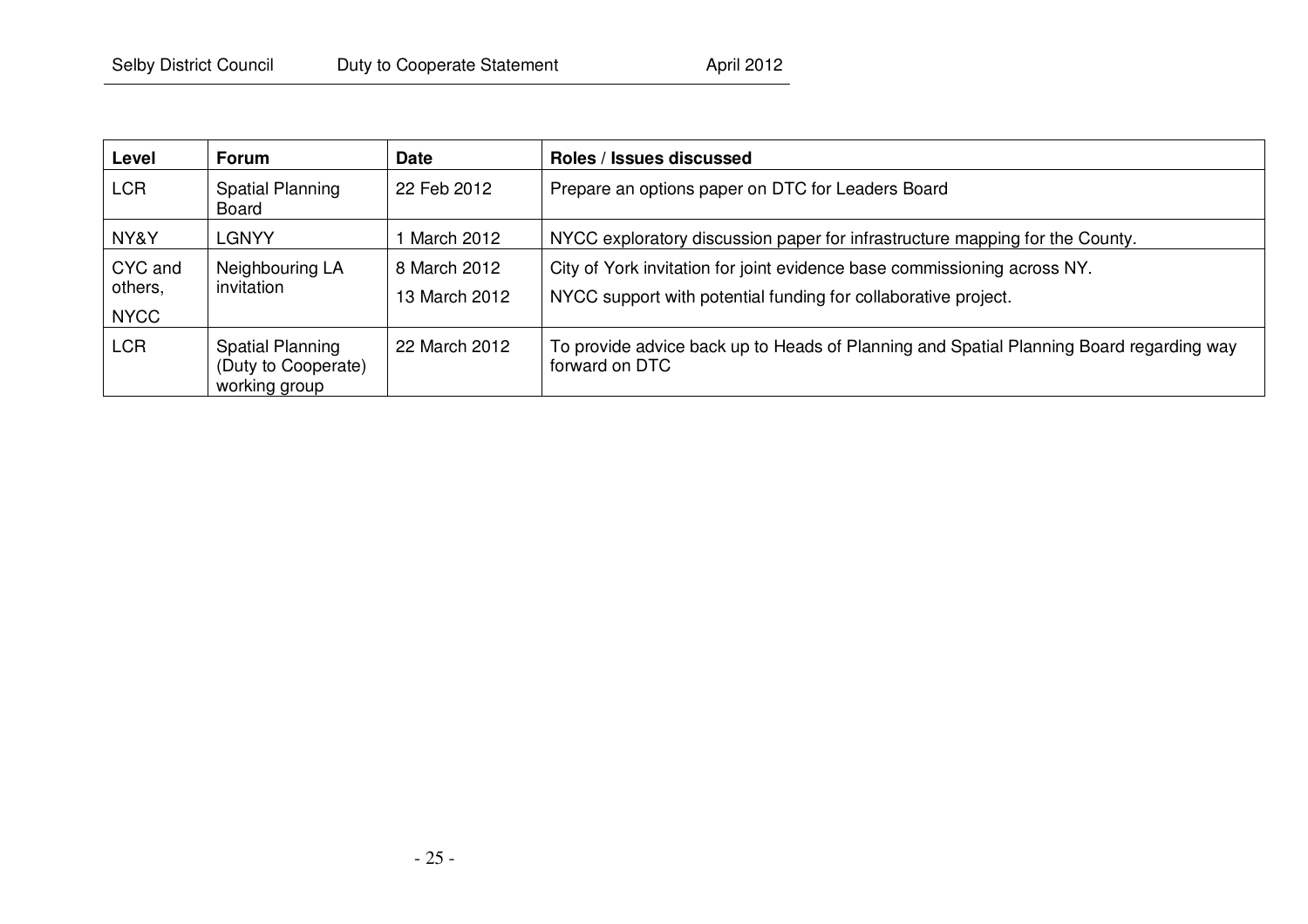| Level                             | <b>Forum</b>                                             | <b>Date</b>                   | Roles / Issues discussed                                                                                                                   |
|-----------------------------------|----------------------------------------------------------|-------------------------------|--------------------------------------------------------------------------------------------------------------------------------------------|
| <b>LCR</b>                        | Spatial Planning<br>Board                                | 22 Feb 2012                   | Prepare an options paper on DTC for Leaders Board                                                                                          |
| NY&Y                              | LGNYY                                                    | March 2012                    | NYCC exploratory discussion paper for infrastructure mapping for the County.                                                               |
| CYC and<br>others,<br><b>NYCC</b> | Neighbouring LA<br>invitation                            | 8 March 2012<br>13 March 2012 | City of York invitation for joint evidence base commissioning across NY.<br>NYCC support with potential funding for collaborative project. |
| <b>LCR</b>                        | Spatial Planning<br>(Duty to Cooperate)<br>working group | 22 March 2012                 | To provide advice back up to Heads of Planning and Spatial Planning Board regarding way<br>forward on DTC                                  |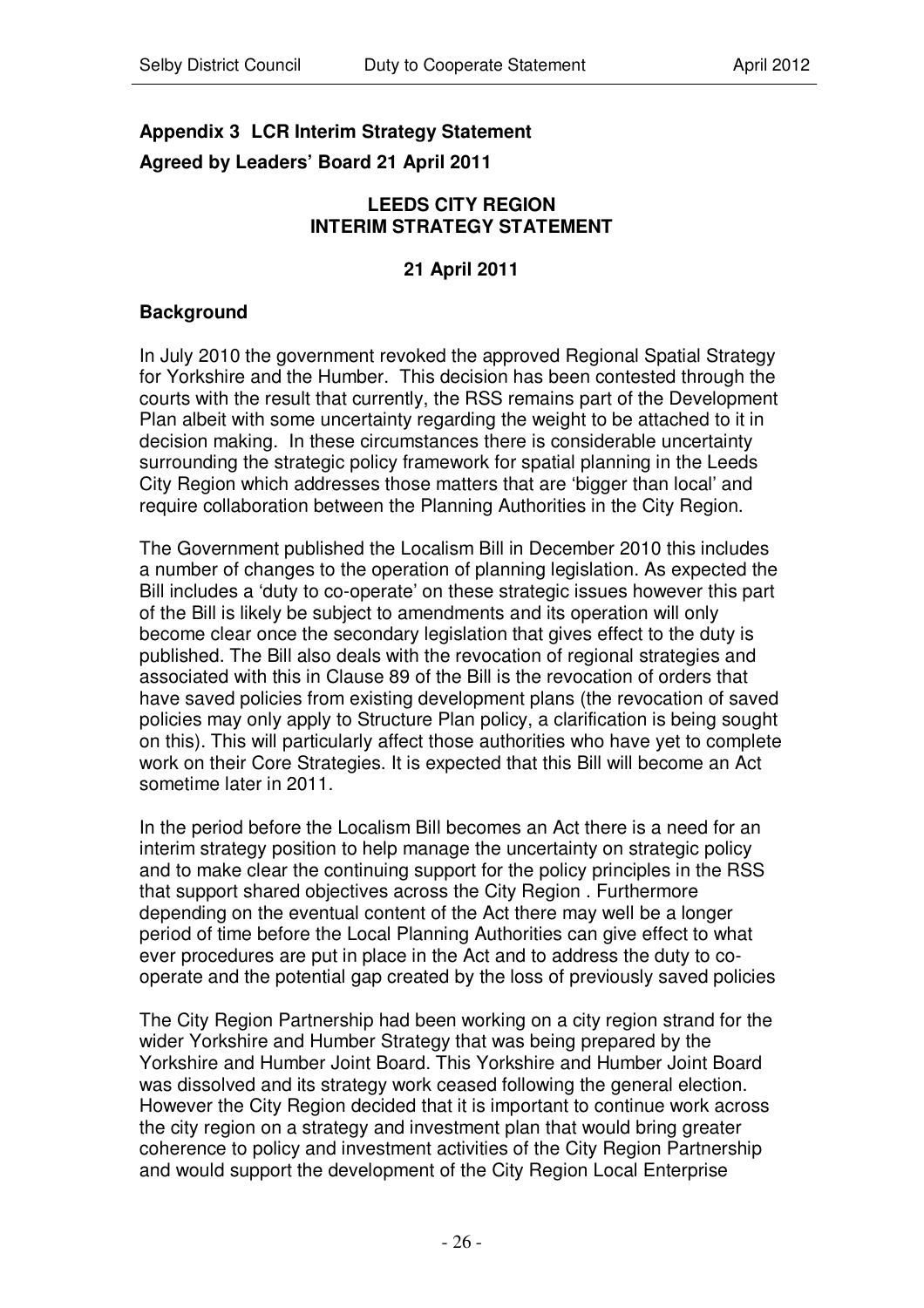# **Appendix 3 LCR Interim Strategy Statement Agreed by Leaders' Board 21 April 2011**

#### **LEEDS CITY REGION INTERIM STRATEGY STATEMENT**

#### **21 April 2011**

# **Background**

In July 2010 the government revoked the approved Regional Spatial Strategy for Yorkshire and the Humber. This decision has been contested through the courts with the result that currently, the RSS remains part of the Development Plan albeit with some uncertainty regarding the weight to be attached to it in decision making. In these circumstances there is considerable uncertainty surrounding the strategic policy framework for spatial planning in the Leeds City Region which addresses those matters that are 'bigger than local' and require collaboration between the Planning Authorities in the City Region.

The Government published the Localism Bill in December 2010 this includes a number of changes to the operation of planning legislation. As expected the Bill includes a 'duty to co-operate' on these strategic issues however this part of the Bill is likely be subject to amendments and its operation will only become clear once the secondary legislation that gives effect to the duty is published. The Bill also deals with the revocation of regional strategies and associated with this in Clause 89 of the Bill is the revocation of orders that have saved policies from existing development plans (the revocation of saved policies may only apply to Structure Plan policy, a clarification is being sought on this). This will particularly affect those authorities who have yet to complete work on their Core Strategies. It is expected that this Bill will become an Act sometime later in 2011.

In the period before the Localism Bill becomes an Act there is a need for an interim strategy position to help manage the uncertainty on strategic policy and to make clear the continuing support for the policy principles in the RSS that support shared objectives across the City Region . Furthermore depending on the eventual content of the Act there may well be a longer period of time before the Local Planning Authorities can give effect to what ever procedures are put in place in the Act and to address the duty to cooperate and the potential gap created by the loss of previously saved policies

The City Region Partnership had been working on a city region strand for the wider Yorkshire and Humber Strategy that was being prepared by the Yorkshire and Humber Joint Board. This Yorkshire and Humber Joint Board was dissolved and its strategy work ceased following the general election. However the City Region decided that it is important to continue work across the city region on a strategy and investment plan that would bring greater coherence to policy and investment activities of the City Region Partnership and would support the development of the City Region Local Enterprise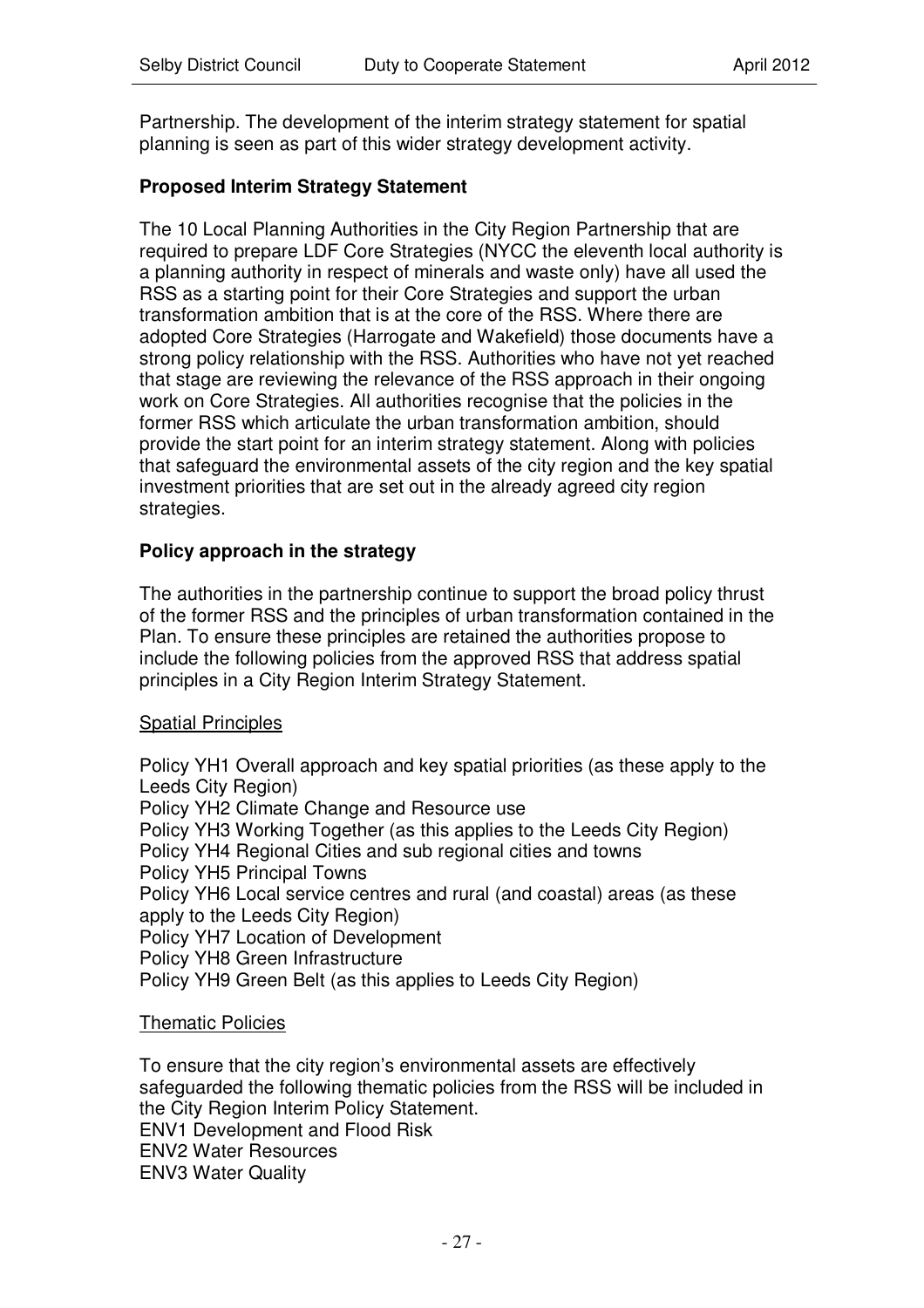Partnership. The development of the interim strategy statement for spatial planning is seen as part of this wider strategy development activity.

#### **Proposed Interim Strategy Statement**

The 10 Local Planning Authorities in the City Region Partnership that are required to prepare LDF Core Strategies (NYCC the eleventh local authority is a planning authority in respect of minerals and waste only) have all used the RSS as a starting point for their Core Strategies and support the urban transformation ambition that is at the core of the RSS. Where there are adopted Core Strategies (Harrogate and Wakefield) those documents have a strong policy relationship with the RSS. Authorities who have not yet reached that stage are reviewing the relevance of the RSS approach in their ongoing work on Core Strategies. All authorities recognise that the policies in the former RSS which articulate the urban transformation ambition, should provide the start point for an interim strategy statement. Along with policies that safeguard the environmental assets of the city region and the key spatial investment priorities that are set out in the already agreed city region strategies.

#### **Policy approach in the strategy**

The authorities in the partnership continue to support the broad policy thrust of the former RSS and the principles of urban transformation contained in the Plan. To ensure these principles are retained the authorities propose to include the following policies from the approved RSS that address spatial principles in a City Region Interim Strategy Statement.

#### **Spatial Principles**

Policy YH1 Overall approach and key spatial priorities (as these apply to the Leeds City Region)

Policy YH2 Climate Change and Resource use

Policy YH3 Working Together (as this applies to the Leeds City Region)

Policy YH4 Regional Cities and sub regional cities and towns

Policy YH5 Principal Towns

Policy YH6 Local service centres and rural (and coastal) areas (as these apply to the Leeds City Region)

Policy YH7 Location of Development

Policy YH8 Green Infrastructure

Policy YH9 Green Belt (as this applies to Leeds City Region)

#### Thematic Policies

To ensure that the city region's environmental assets are effectively safeguarded the following thematic policies from the RSS will be included in the City Region Interim Policy Statement. ENV1 Development and Flood Risk ENV2 Water Resources

ENV3 Water Quality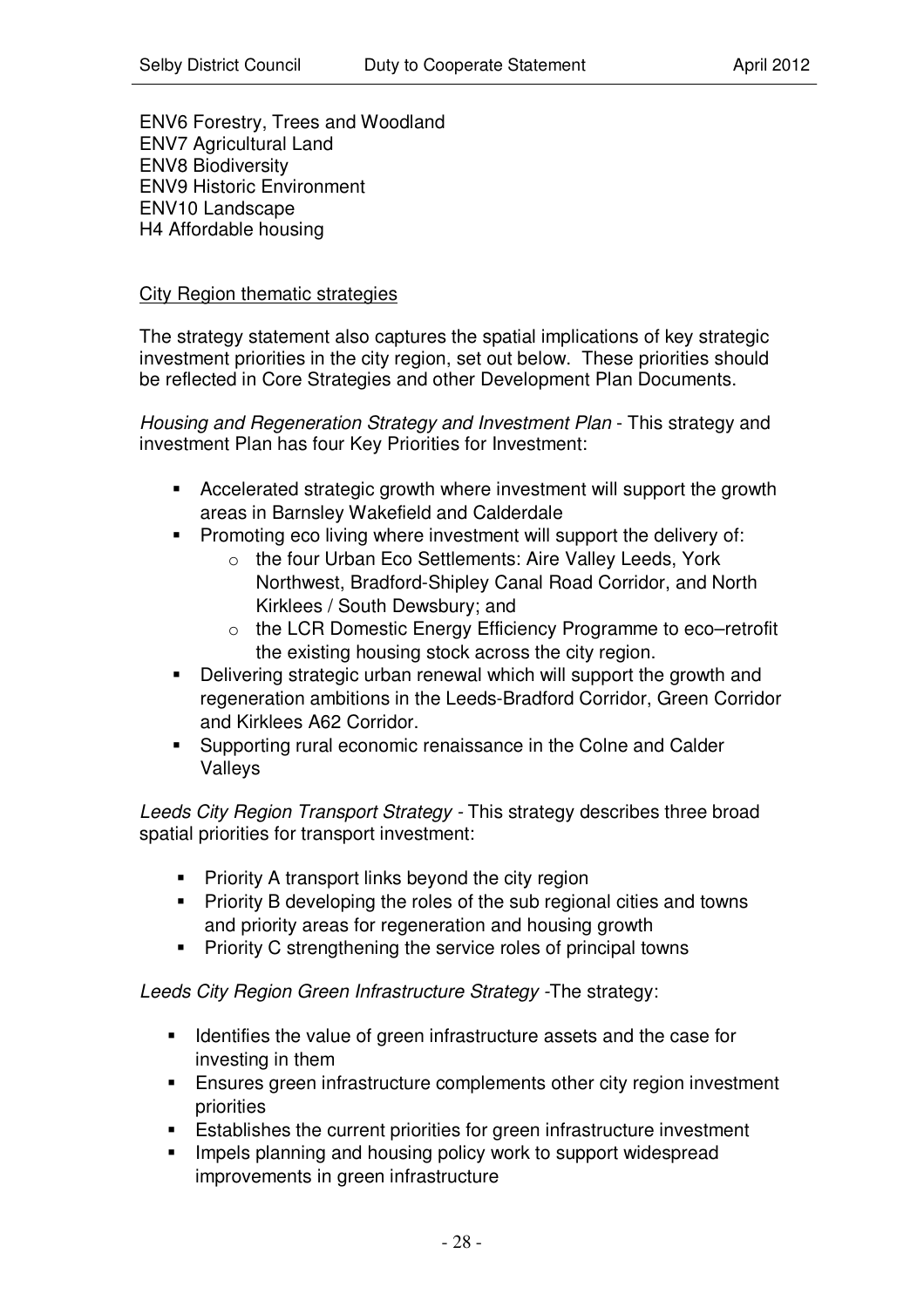ENV6 Forestry, Trees and Woodland ENV7 Agricultural Land ENV8 Biodiversity ENV9 Historic Environment ENV10 Landscape H4 Affordable housing

#### City Region thematic strategies

The strategy statement also captures the spatial implications of key strategic investment priorities in the city region, set out below. These priorities should be reflected in Core Strategies and other Development Plan Documents.

*Housing and Regeneration Strategy and Investment Plan* - This strategy and investment Plan has four Key Priorities for Investment:

- Accelerated strategic growth where investment will support the growth areas in Barnsley Wakefield and Calderdale
- **Promoting eco living where investment will support the delivery of:** 
	- o the four Urban Eco Settlements: Aire Valley Leeds, York Northwest, Bradford-Shipley Canal Road Corridor, and North Kirklees / South Dewsbury; and
	- o the LCR Domestic Energy Efficiency Programme to eco–retrofit the existing housing stock across the city region.
- Delivering strategic urban renewal which will support the growth and regeneration ambitions in the Leeds-Bradford Corridor, Green Corridor and Kirklees A62 Corridor.
- **Supporting rural economic renaissance in the Colne and Calder** Valleys

*Leeds City Region Transport Strategy -* This strategy describes three broad spatial priorities for transport investment:

- **Priority A transport links beyond the city region**
- **Priority B developing the roles of the sub regional cities and towns** and priority areas for regeneration and housing growth
- **Priority C strengthening the service roles of principal towns**

*Leeds City Region Green Infrastructure Strategy -*The strategy:

- **IDENTIFY IDENTIFY IS NOTE 10** Identifies the value of green infrastructure assets and the case for investing in them
- Ensures green infrastructure complements other city region investment priorities
- Establishes the current priorities for green infrastructure investment
- Impels planning and housing policy work to support widespread improvements in green infrastructure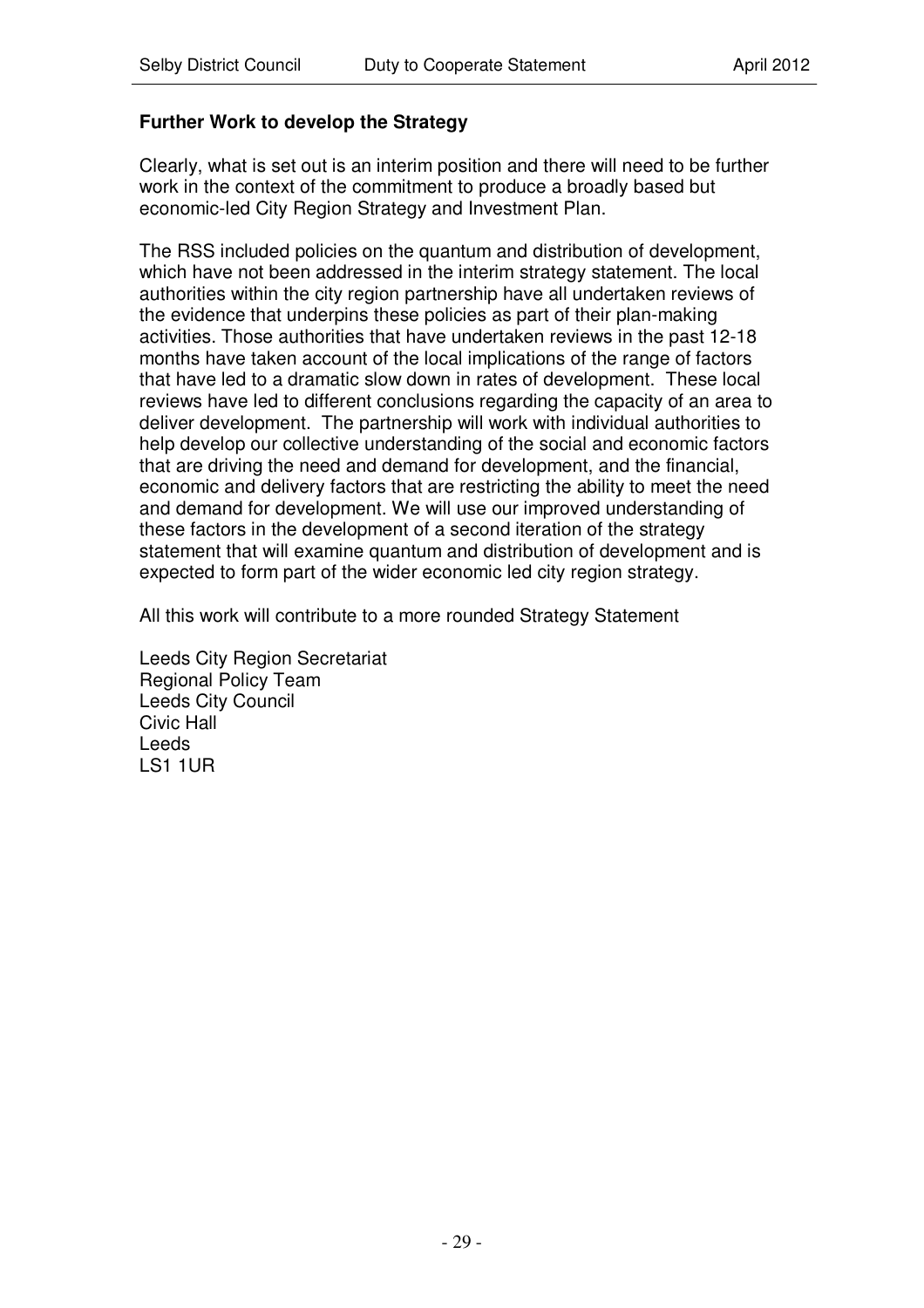# **Further Work to develop the Strategy**

Clearly, what is set out is an interim position and there will need to be further work in the context of the commitment to produce a broadly based but economic-led City Region Strategy and Investment Plan.

The RSS included policies on the quantum and distribution of development, which have not been addressed in the interim strategy statement. The local authorities within the city region partnership have all undertaken reviews of the evidence that underpins these policies as part of their plan-making activities. Those authorities that have undertaken reviews in the past 12-18 months have taken account of the local implications of the range of factors that have led to a dramatic slow down in rates of development. These local reviews have led to different conclusions regarding the capacity of an area to deliver development. The partnership will work with individual authorities to help develop our collective understanding of the social and economic factors that are driving the need and demand for development, and the financial, economic and delivery factors that are restricting the ability to meet the need and demand for development. We will use our improved understanding of these factors in the development of a second iteration of the strategy statement that will examine quantum and distribution of development and is expected to form part of the wider economic led city region strategy.

All this work will contribute to a more rounded Strategy Statement

Leeds City Region Secretariat Regional Policy Team Leeds City Council Civic Hall Leeds LS1 1UR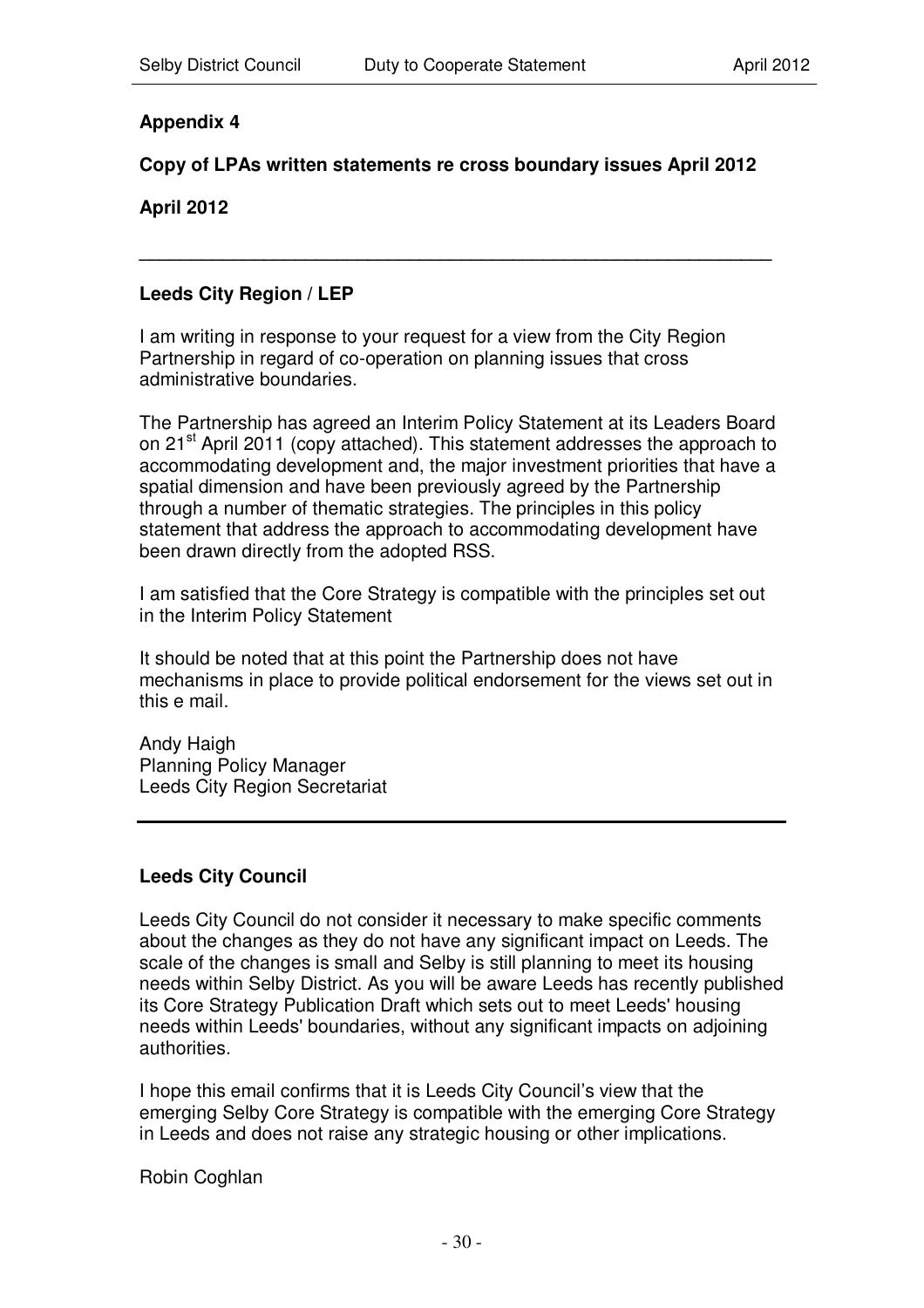# **Appendix 4**

# **Copy of LPAs written statements re cross boundary issues April 2012**

**\_\_\_\_\_\_\_\_\_\_\_\_\_\_\_\_\_\_\_\_\_\_\_\_\_\_\_\_\_\_\_\_\_\_\_\_\_\_\_\_\_\_\_\_\_\_\_\_\_\_\_\_\_\_\_\_\_\_\_\_\_**

**April 2012**

#### **Leeds City Region / LEP**

I am writing in response to your request for a view from the City Region Partnership in regard of co-operation on planning issues that cross administrative boundaries.

The Partnership has agreed an Interim Policy Statement at its Leaders Board on 21<sup>st</sup> April 2011 (copy attached). This statement addresses the approach to accommodating development and, the major investment priorities that have a spatial dimension and have been previously agreed by the Partnership through a number of thematic strategies. The principles in this policy statement that address the approach to accommodating development have been drawn directly from the adopted RSS.

I am satisfied that the Core Strategy is compatible with the principles set out in the Interim Policy Statement

It should be noted that at this point the Partnership does not have mechanisms in place to provide political endorsement for the views set out in this e mail.

Andy Haigh Planning Policy Manager Leeds City Region Secretariat

#### **Leeds City Council**

Leeds City Council do not consider it necessary to make specific comments about the changes as they do not have any significant impact on Leeds. The scale of the changes is small and Selby is still planning to meet its housing needs within Selby District. As you will be aware Leeds has recently published its Core Strategy Publication Draft which sets out to meet Leeds'housing needs within Leeds'boundaries, without any significant impacts on adjoining authorities.

I hope this email confirms that it is Leeds City Council's view that the emerging Selby Core Strategy is compatible with the emerging Core Strategy in Leeds and does not raise any strategic housing or other implications.

Robin Coghlan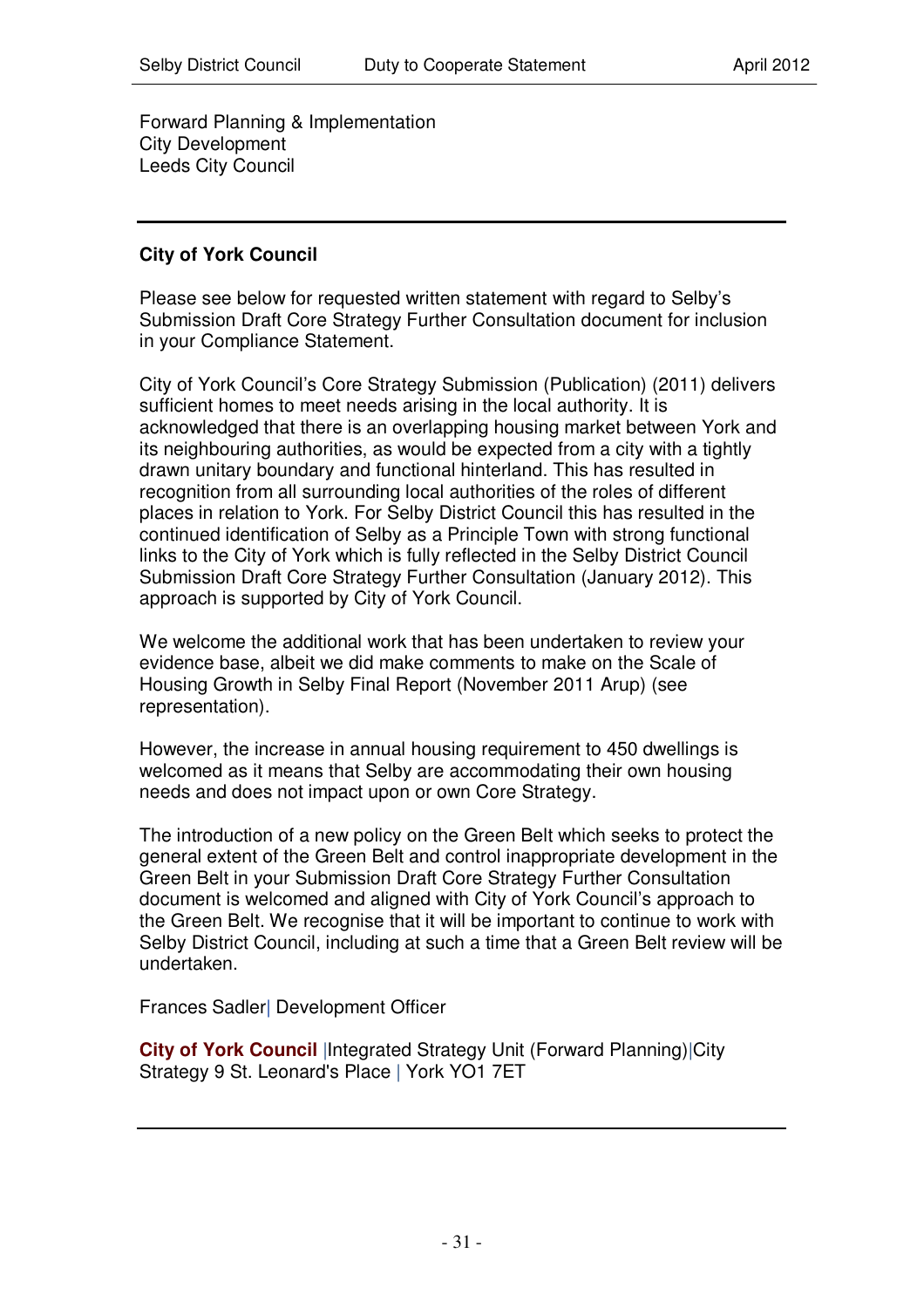Forward Planning & Implementation City Development Leeds City Council

# **City of York Council**

Please see below for requested written statement with regard to Selby's Submission Draft Core Strategy Further Consultation document for inclusion in your Compliance Statement.

City of York Council's Core Strategy Submission (Publication) (2011) delivers sufficient homes to meet needs arising in the local authority. It is acknowledged that there is an overlapping housing market between York and its neighbouring authorities, as would be expected from a city with a tightly drawn unitary boundary and functional hinterland. This has resulted in recognition from all surrounding local authorities of the roles of different places in relation to York. For Selby District Council this has resulted in the continued identification of Selby as a Principle Town with strong functional links to the City of York which is fully reflected in the Selby District Council Submission Draft Core Strategy Further Consultation (January 2012). This approach is supported by City of York Council.

We welcome the additional work that has been undertaken to review your evidence base, albeit we did make comments to make on the Scale of Housing Growth in Selby Final Report (November 2011 Arup) (see representation).

However, the increase in annual housing requirement to 450 dwellings is welcomed as it means that Selby are accommodating their own housing needs and does not impact upon or own Core Strategy.

The introduction of a new policy on the Green Belt which seeks to protect the general extent of the Green Belt and control inappropriate development in the Green Belt in your Submission Draft Core Strategy Further Consultation document is welcomed and aligned with City of York Council's approach to the Green Belt. We recognise that it will be important to continue to work with Selby District Council, including at such a time that a Green Belt review will be undertaken.

Frances Sadler| Development Officer

**City of York Council** |Integrated Strategy Unit (Forward Planning)|City Strategy 9 St. Leonard's Place | York YO1 7ET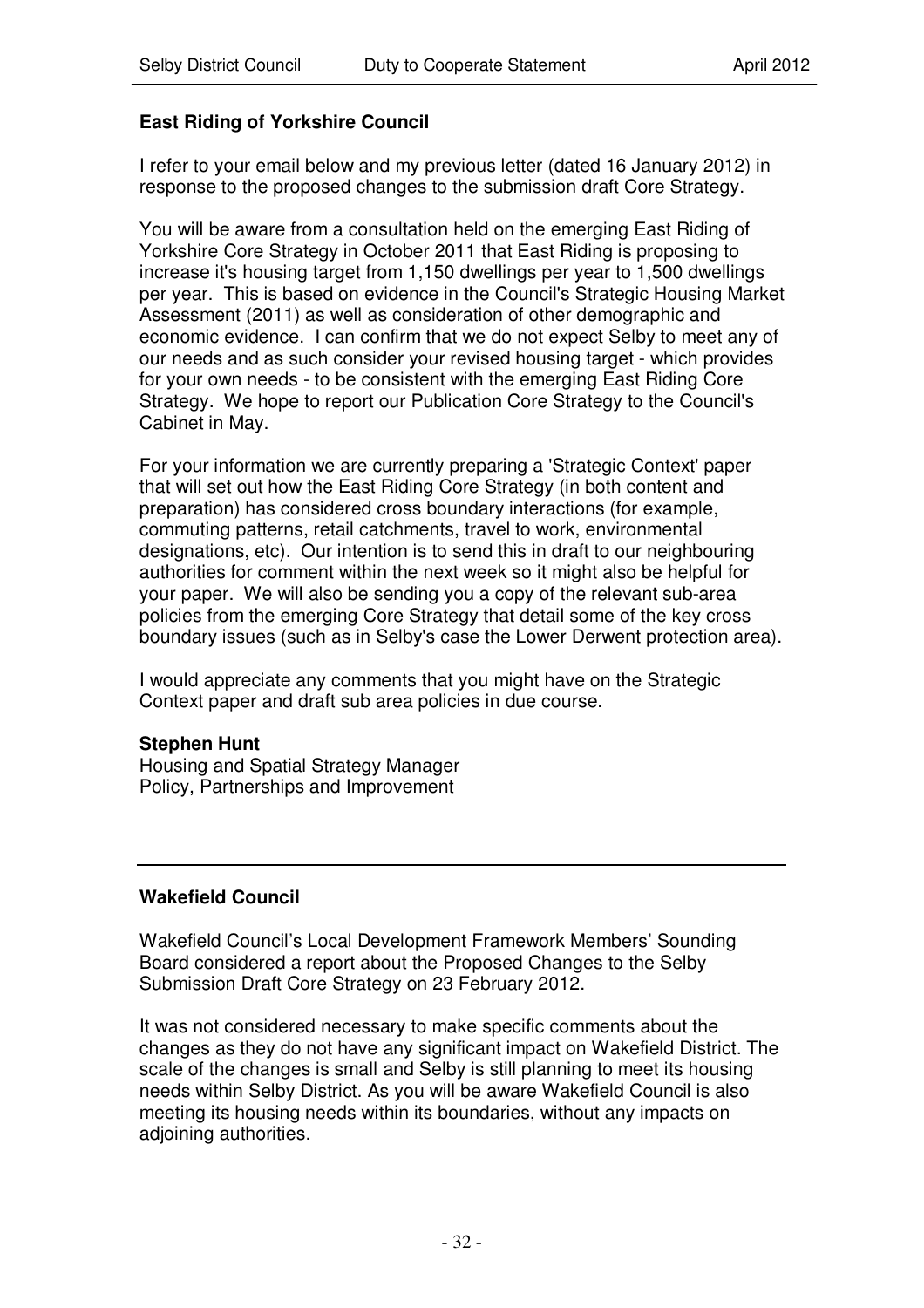# **East Riding of Yorkshire Council**

I refer to your email below and my previous letter (dated 16 January 2012) in response to the proposed changes to the submission draft Core Strategy.

You will be aware from a consultation held on the emerging East Riding of Yorkshire Core Strategy in October 2011 that East Riding is proposing to increase it's housing target from 1,150 dwellings per year to 1,500 dwellings per year. This is based on evidence in the Council's Strategic Housing Market Assessment (2011) as well as consideration of other demographic and economic evidence. I can confirm that we do not expect Selby to meet any of our needs and as such consider your revised housing target - which provides for your own needs - to be consistent with the emerging East Riding Core Strategy. We hope to report our Publication Core Strategy to the Council's Cabinet in May.

For your information we are currently preparing a 'Strategic Context'paper that will set out how the East Riding Core Strategy (in both content and preparation) has considered cross boundary interactions (for example, commuting patterns, retail catchments, travel to work, environmental designations, etc). Our intention is to send this in draft to our neighbouring authorities for comment within the next week so it might also be helpful for your paper. We will also be sending you a copy of the relevant sub-area policies from the emerging Core Strategy that detail some of the key cross boundary issues (such as in Selby's case the Lower Derwent protection area).

I would appreciate any comments that you might have on the Strategic Context paper and draft sub area policies in due course.

#### **Stephen Hunt**

Housing and Spatial Strategy Manager Policy, Partnerships and Improvement

#### **Wakefield Council**

Wakefield Council's Local Development Framework Members' Sounding Board considered a report about the Proposed Changes to the Selby Submission Draft Core Strategy on 23 February 2012.

It was not considered necessary to make specific comments about the changes as they do not have any significant impact on Wakefield District. The scale of the changes is small and Selby is still planning to meet its housing needs within Selby District. As you will be aware Wakefield Council is also meeting its housing needs within its boundaries, without any impacts on adjoining authorities.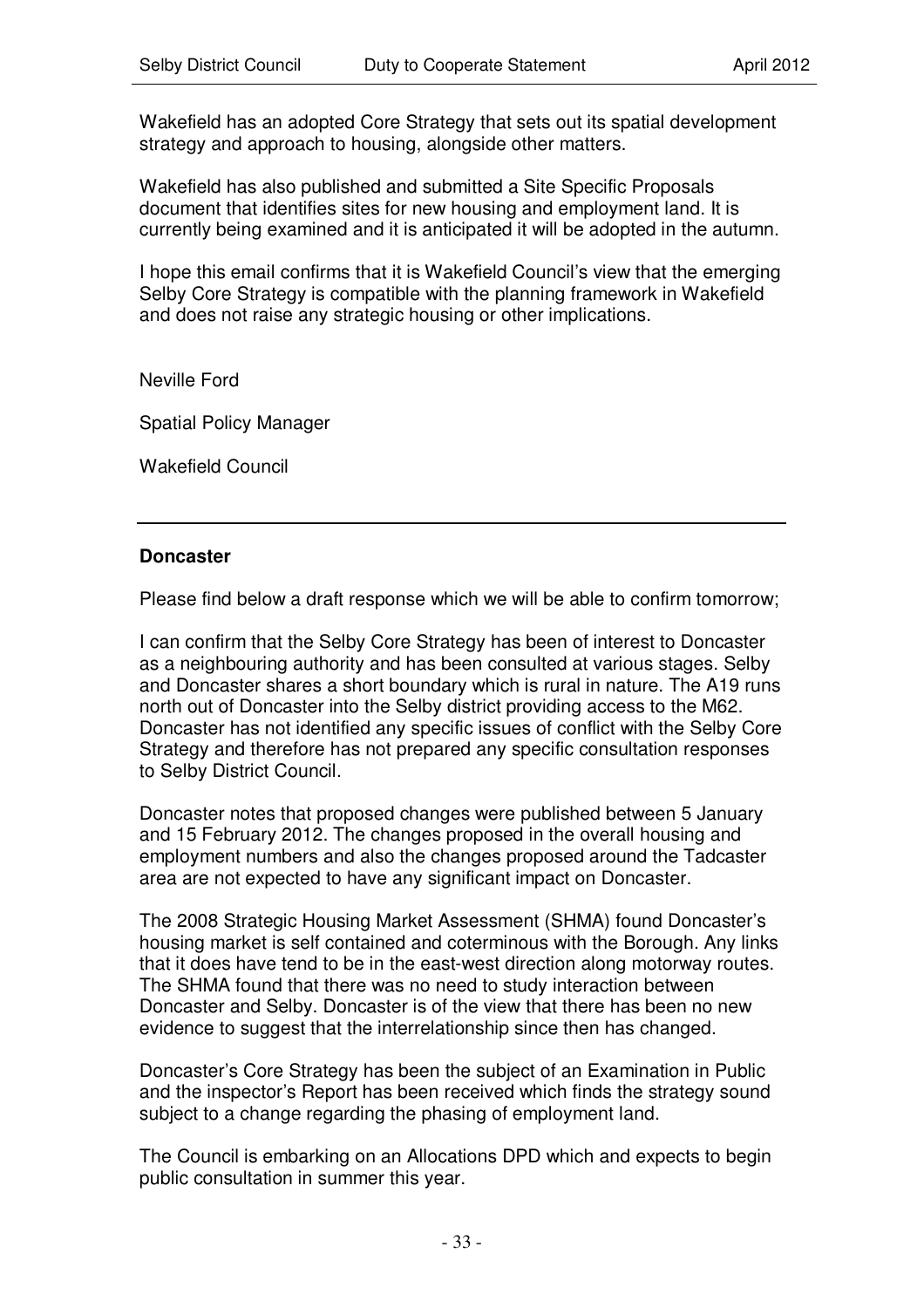Wakefield has an adopted Core Strategy that sets out its spatial development strategy and approach to housing, alongside other matters.

Wakefield has also published and submitted a Site Specific Proposals document that identifies sites for new housing and employment land. It is currently being examined and it is anticipated it will be adopted in the autumn.

I hope this email confirms that it is Wakefield Council's view that the emerging Selby Core Strategy is compatible with the planning framework in Wakefield and does not raise any strategic housing or other implications.

Neville Ford

Spatial Policy Manager

Wakefield Council

#### **Doncaster**

Please find below a draft response which we will be able to confirm tomorrow;

I can confirm that the Selby Core Strategy has been of interest to Doncaster as a neighbouring authority and has been consulted at various stages. Selby and Doncaster shares a short boundary which is rural in nature. The A19 runs north out of Doncaster into the Selby district providing access to the M62. Doncaster has not identified any specific issues of conflict with the Selby Core Strategy and therefore has not prepared any specific consultation responses to Selby District Council.

Doncaster notes that proposed changes were published between 5 January and 15 February 2012. The changes proposed in the overall housing and employment numbers and also the changes proposed around the Tadcaster area are not expected to have any significant impact on Doncaster.

The 2008 Strategic Housing Market Assessment (SHMA) found Doncaster's housing market is self contained and coterminous with the Borough. Any links that it does have tend to be in the east-west direction along motorway routes. The SHMA found that there was no need to study interaction between Doncaster and Selby. Doncaster is of the view that there has been no new evidence to suggest that the interrelationship since then has changed.

Doncaster's Core Strategy has been the subject of an Examination in Public and the inspector's Report has been received which finds the strategy sound subject to a change regarding the phasing of employment land.

The Council is embarking on an Allocations DPD which and expects to begin public consultation in summer this year.